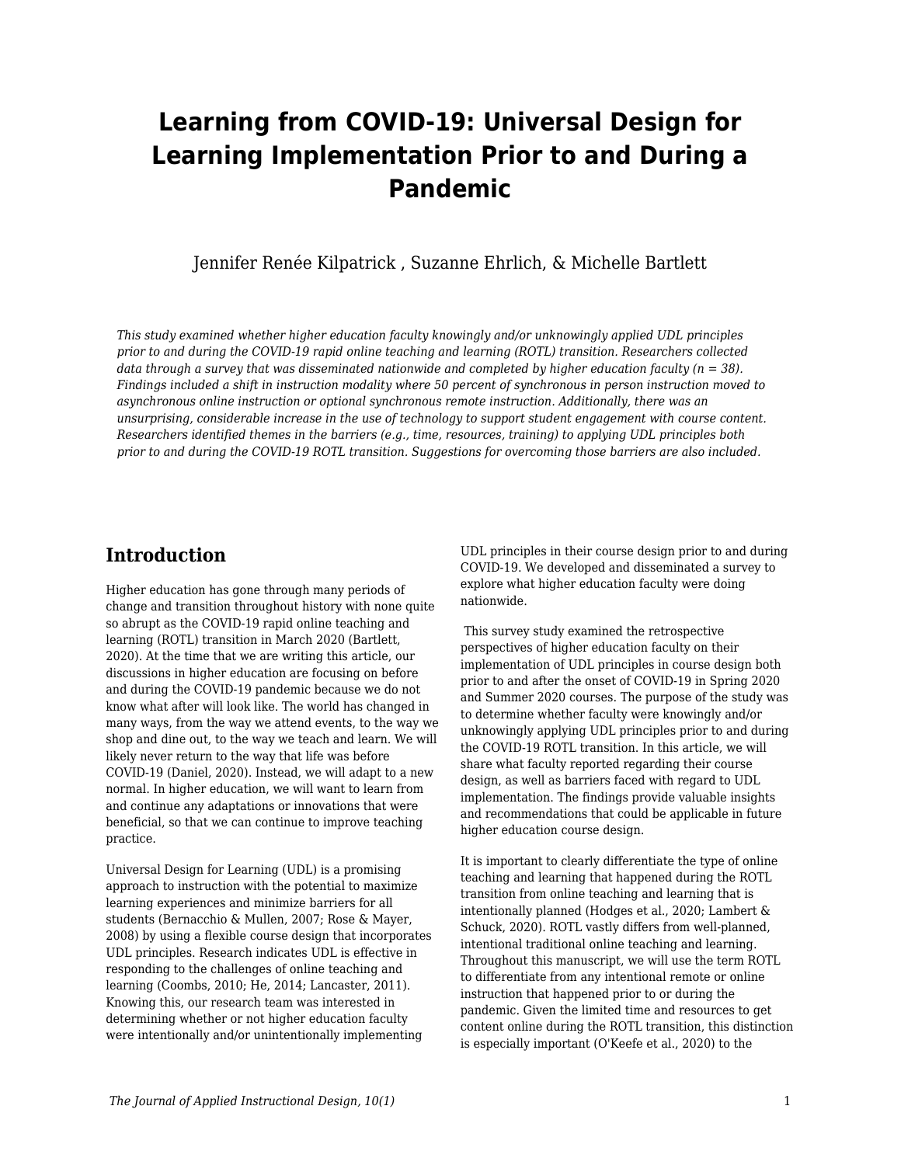# **Learning from COVID-19: Universal Design for Learning Implementation Prior to and During a Pandemic**

Jennifer Renée Kilpatrick , Suzanne Ehrlich, & Michelle Bartlett

*This study examined whether higher education faculty knowingly and/or unknowingly applied UDL principles prior to and during the COVID-19 rapid online teaching and learning (ROTL) transition. Researchers collected data through a survey that was disseminated nationwide and completed by higher education faculty (n = 38). Findings included a shift in instruction modality where 50 percent of synchronous in person instruction moved to asynchronous online instruction or optional synchronous remote instruction. Additionally, there was an unsurprising, considerable increase in the use of technology to support student engagement with course content. Researchers identified themes in the barriers (e.g., time, resources, training) to applying UDL principles both prior to and during the COVID-19 ROTL transition. Suggestions for overcoming those barriers are also included.*

## **Introduction**

Higher education has gone through many periods of change and transition throughout history with none quite so abrupt as the COVID-19 rapid online teaching and learning (ROTL) transition in March 2020 (Bartlett, 2020). At the time that we are writing this article, our discussions in higher education are focusing on before and during the COVID-19 pandemic because we do not know what after will look like. The world has changed in many ways, from the way we attend events, to the way we shop and dine out, to the way we teach and learn. We will likely never return to the way that life was before COVID-19 (Daniel, 2020). Instead, we will adapt to a new normal. In higher education, we will want to learn from and continue any adaptations or innovations that were beneficial, so that we can continue to improve teaching practice.

Universal Design for Learning (UDL) is a promising approach to instruction with the potential to maximize learning experiences and minimize barriers for all students (Bernacchio & Mullen, 2007; Rose & Mayer, 2008) by using a flexible course design that incorporates UDL principles. Research indicates UDL is effective in responding to the challenges of online teaching and learning (Coombs, 2010; He, 2014; Lancaster, 2011). Knowing this, our research team was interested in determining whether or not higher education faculty were intentionally and/or unintentionally implementing

UDL principles in their course design prior to and during COVID-19. We developed and disseminated a survey to explore what higher education faculty were doing nationwide.

 This survey study examined the retrospective perspectives of higher education faculty on their implementation of UDL principles in course design both prior to and after the onset of COVID-19 in Spring 2020 and Summer 2020 courses. The purpose of the study was to determine whether faculty were knowingly and/or unknowingly applying UDL principles prior to and during the COVID-19 ROTL transition. In this article, we will share what faculty reported regarding their course design, as well as barriers faced with regard to UDL implementation. The findings provide valuable insights and recommendations that could be applicable in future higher education course design.

It is important to clearly differentiate the type of online teaching and learning that happened during the ROTL transition from online teaching and learning that is intentionally planned (Hodges et al., 2020; Lambert & Schuck, 2020). ROTL vastly differs from well-planned, intentional traditional online teaching and learning. Throughout this manuscript, we will use the term ROTL to differentiate from any intentional remote or online instruction that happened prior to or during the pandemic. Given the limited time and resources to get content online during the ROTL transition, this distinction is especially important (O'Keefe et al., 2020) to the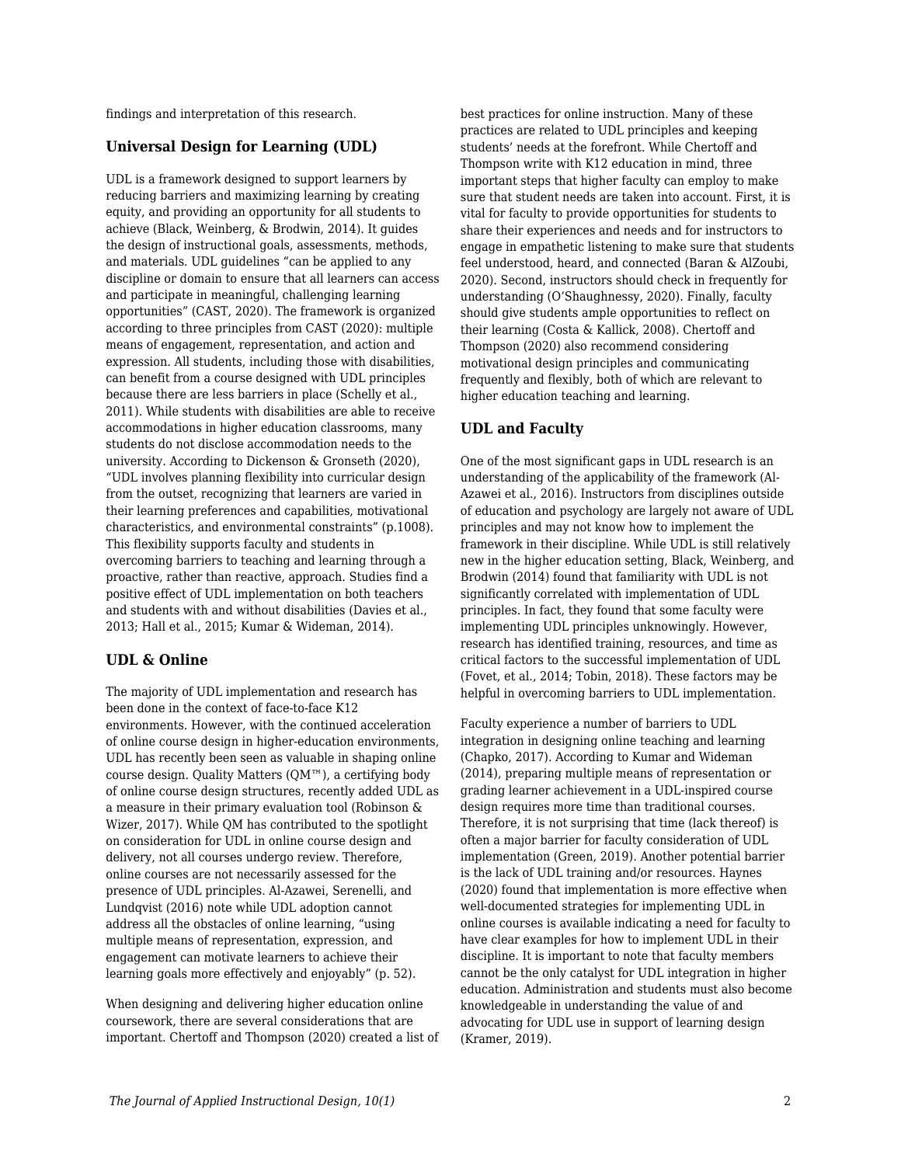findings and interpretation of this research.

## **Universal Design for Learning (UDL)**

UDL is a framework designed to support learners by reducing barriers and maximizing learning by creating equity, and providing an opportunity for all students to achieve (Black, Weinberg, & Brodwin, 2014). It guides the design of instructional goals, assessments, methods, and materials. UDL guidelines "can be applied to any discipline or domain to ensure that all learners can access and participate in meaningful, challenging learning opportunities" (CAST, 2020). The framework is organized according to three principles from CAST (2020): multiple means of engagement, representation, and action and expression. All students, including those with disabilities, can benefit from a course designed with UDL principles because there are less barriers in place (Schelly et al., 2011). While students with disabilities are able to receive accommodations in higher education classrooms, many students do not disclose accommodation needs to the university. According to Dickenson & Gronseth (2020), "UDL involves planning flexibility into curricular design from the outset, recognizing that learners are varied in their learning preferences and capabilities, motivational characteristics, and environmental constraints" (p.1008). This flexibility supports faculty and students in overcoming barriers to teaching and learning through a proactive, rather than reactive, approach. Studies find a positive effect of UDL implementation on both teachers and students with and without disabilities (Davies et al., 2013; Hall et al., 2015; Kumar & Wideman, 2014).

## **UDL & Online**

The majority of UDL implementation and research has been done in the context of face-to-face K12 environments. However, with the continued acceleration of online course design in higher-education environments, UDL has recently been seen as valuable in shaping online course design. Quality Matters (QM™), a certifying body of online course design structures, recently added UDL as a measure in their primary evaluation tool (Robinson & Wizer, 2017). While QM has contributed to the spotlight on consideration for UDL in online course design and delivery, not all courses undergo review. Therefore, online courses are not necessarily assessed for the presence of UDL principles. Al-Azawei, Serenelli, and Lundqvist (2016) note while UDL adoption cannot address all the obstacles of online learning, "using multiple means of representation, expression, and engagement can motivate learners to achieve their learning goals more effectively and enjoyably" (p. 52).

When designing and delivering higher education online coursework, there are several considerations that are important. Chertoff and Thompson (2020) created a list of best practices for online instruction. Many of these practices are related to UDL principles and keeping students' needs at the forefront. While Chertoff and Thompson write with K12 education in mind, three important steps that higher faculty can employ to make sure that student needs are taken into account. First, it is vital for faculty to provide opportunities for students to share their experiences and needs and for instructors to engage in empathetic listening to make sure that students feel understood, heard, and connected (Baran & AlZoubi, 2020). Second, instructors should check in frequently for understanding (O'Shaughnessy, 2020). Finally, faculty should give students ample opportunities to reflect on their learning (Costa & Kallick, 2008). Chertoff and Thompson (2020) also recommend considering motivational design principles and communicating frequently and flexibly, both of which are relevant to higher education teaching and learning.

## **UDL and Faculty**

One of the most significant gaps in UDL research is an understanding of the applicability of the framework (Al-Azawei et al., 2016). Instructors from disciplines outside of education and psychology are largely not aware of UDL principles and may not know how to implement the framework in their discipline. While UDL is still relatively new in the higher education setting, Black, Weinberg, and Brodwin (2014) found that familiarity with UDL is not significantly correlated with implementation of UDL principles. In fact, they found that some faculty were implementing UDL principles unknowingly. However, research has identified training, resources, and time as critical factors to the successful implementation of UDL (Fovet, et al., 2014; Tobin, 2018). These factors may be helpful in overcoming barriers to UDL implementation.

Faculty experience a number of barriers to UDL integration in designing online teaching and learning (Chapko, 2017). According to Kumar and Wideman (2014), preparing multiple means of representation or grading learner achievement in a UDL-inspired course design requires more time than traditional courses. Therefore, it is not surprising that time (lack thereof) is often a major barrier for faculty consideration of UDL implementation (Green, 2019). Another potential barrier is the lack of UDL training and/or resources. Haynes (2020) found that implementation is more effective when well-documented strategies for implementing UDL in online courses is available indicating a need for faculty to have clear examples for how to implement UDL in their discipline. It is important to note that faculty members cannot be the only catalyst for UDL integration in higher education. Administration and students must also become knowledgeable in understanding the value of and advocating for UDL use in support of learning design (Kramer, 2019).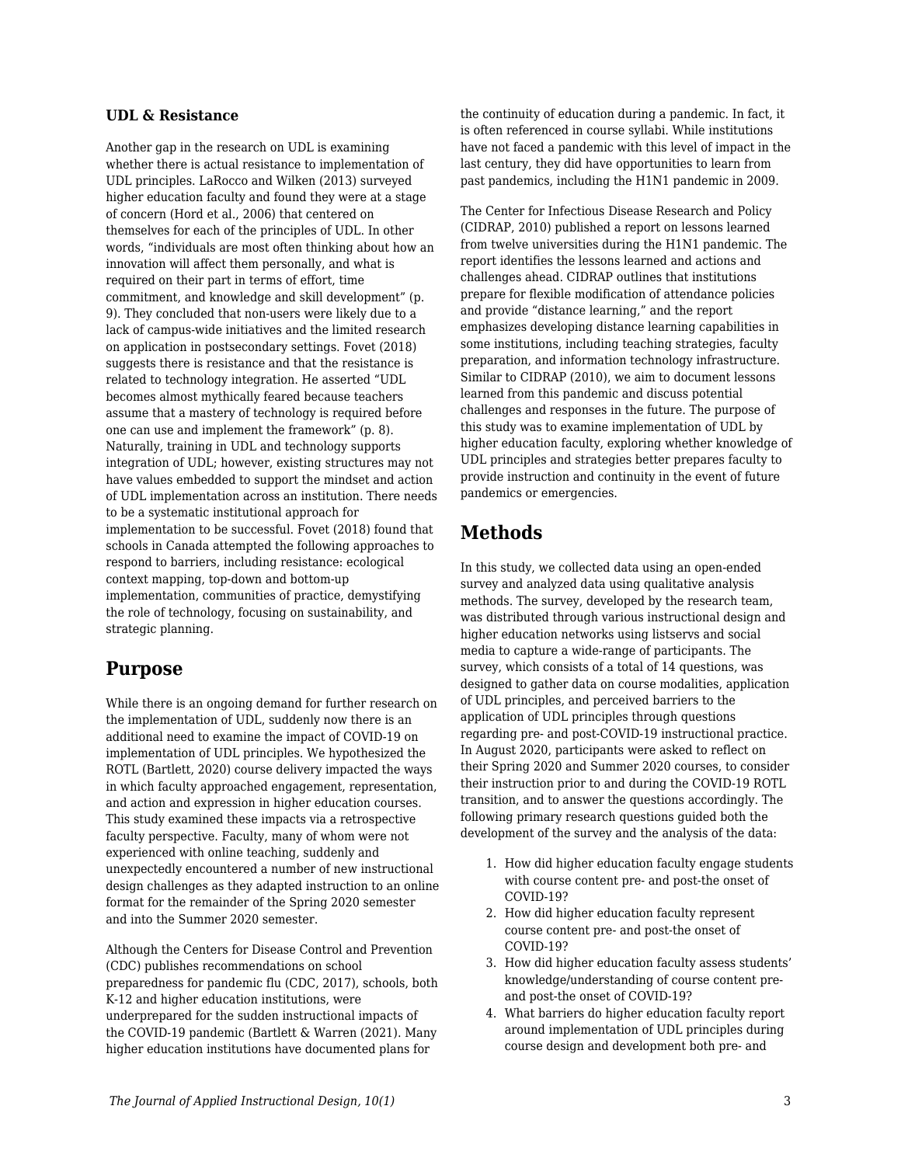### **UDL & Resistance**

Another gap in the research on UDL is examining whether there is actual resistance to implementation of UDL principles. LaRocco and Wilken (2013) surveyed higher education faculty and found they were at a stage of concern (Hord et al., 2006) that centered on themselves for each of the principles of UDL. In other words, "individuals are most often thinking about how an innovation will affect them personally, and what is required on their part in terms of effort, time commitment, and knowledge and skill development" (p. 9). They concluded that non-users were likely due to a lack of campus-wide initiatives and the limited research on application in postsecondary settings. Fovet (2018) suggests there is resistance and that the resistance is related to technology integration. He asserted "UDL becomes almost mythically feared because teachers assume that a mastery of technology is required before one can use and implement the framework" (p. 8). Naturally, training in UDL and technology supports integration of UDL; however, existing structures may not have values embedded to support the mindset and action of UDL implementation across an institution. There needs to be a systematic institutional approach for implementation to be successful. Fovet (2018) found that schools in Canada attempted the following approaches to respond to barriers, including resistance: ecological context mapping, top-down and bottom-up implementation, communities of practice, demystifying the role of technology, focusing on sustainability, and strategic planning.

## **Purpose**

While there is an ongoing demand for further research on the implementation of UDL, suddenly now there is an additional need to examine the impact of COVID-19 on implementation of UDL principles. We hypothesized the ROTL (Bartlett, 2020) course delivery impacted the ways in which faculty approached engagement, representation, and action and expression in higher education courses. This study examined these impacts via a retrospective faculty perspective. Faculty, many of whom were not experienced with online teaching, suddenly and unexpectedly encountered a number of new instructional design challenges as they adapted instruction to an online format for the remainder of the Spring 2020 semester and into the Summer 2020 semester.

Although the Centers for Disease Control and Prevention (CDC) publishes recommendations on school preparedness for pandemic flu (CDC, 2017), schools, both K-12 and higher education institutions, were underprepared for the sudden instructional impacts of the COVID-19 pandemic (Bartlett & Warren (2021). Many higher education institutions have documented plans for

the continuity of education during a pandemic. In fact, it is often referenced in course syllabi. While institutions have not faced a pandemic with this level of impact in the last century, they did have opportunities to learn from past pandemics, including the H1N1 pandemic in 2009.

The Center for Infectious Disease Research and Policy (CIDRAP, 2010) published a report on lessons learned from twelve universities during the H1N1 pandemic. The report identifies the lessons learned and actions and challenges ahead. CIDRAP outlines that institutions prepare for flexible modification of attendance policies and provide "distance learning," and the report emphasizes developing distance learning capabilities in some institutions, including teaching strategies, faculty preparation, and information technology infrastructure. Similar to CIDRAP (2010), we aim to document lessons learned from this pandemic and discuss potential challenges and responses in the future. The purpose of this study was to examine implementation of UDL by higher education faculty, exploring whether knowledge of UDL principles and strategies better prepares faculty to provide instruction and continuity in the event of future pandemics or emergencies.

## **Methods**

In this study, we collected data using an open-ended survey and analyzed data using qualitative analysis methods. The survey, developed by the research team, was distributed through various instructional design and higher education networks using listservs and social media to capture a wide-range of participants. The survey, which consists of a total of 14 questions, was designed to gather data on course modalities, application of UDL principles, and perceived barriers to the application of UDL principles through questions regarding pre- and post-COVID-19 instructional practice. In August 2020, participants were asked to reflect on their Spring 2020 and Summer 2020 courses, to consider their instruction prior to and during the COVID-19 ROTL transition, and to answer the questions accordingly. The following primary research questions guided both the development of the survey and the analysis of the data:

- 1. How did higher education faculty engage students with course content pre- and post-the onset of COVID-19?
- 2. How did higher education faculty represent course content pre- and post-the onset of COVID-19?
- 3. How did higher education faculty assess students' knowledge/understanding of course content preand post-the onset of COVID-19?
- 4. What barriers do higher education faculty report around implementation of UDL principles during course design and development both pre- and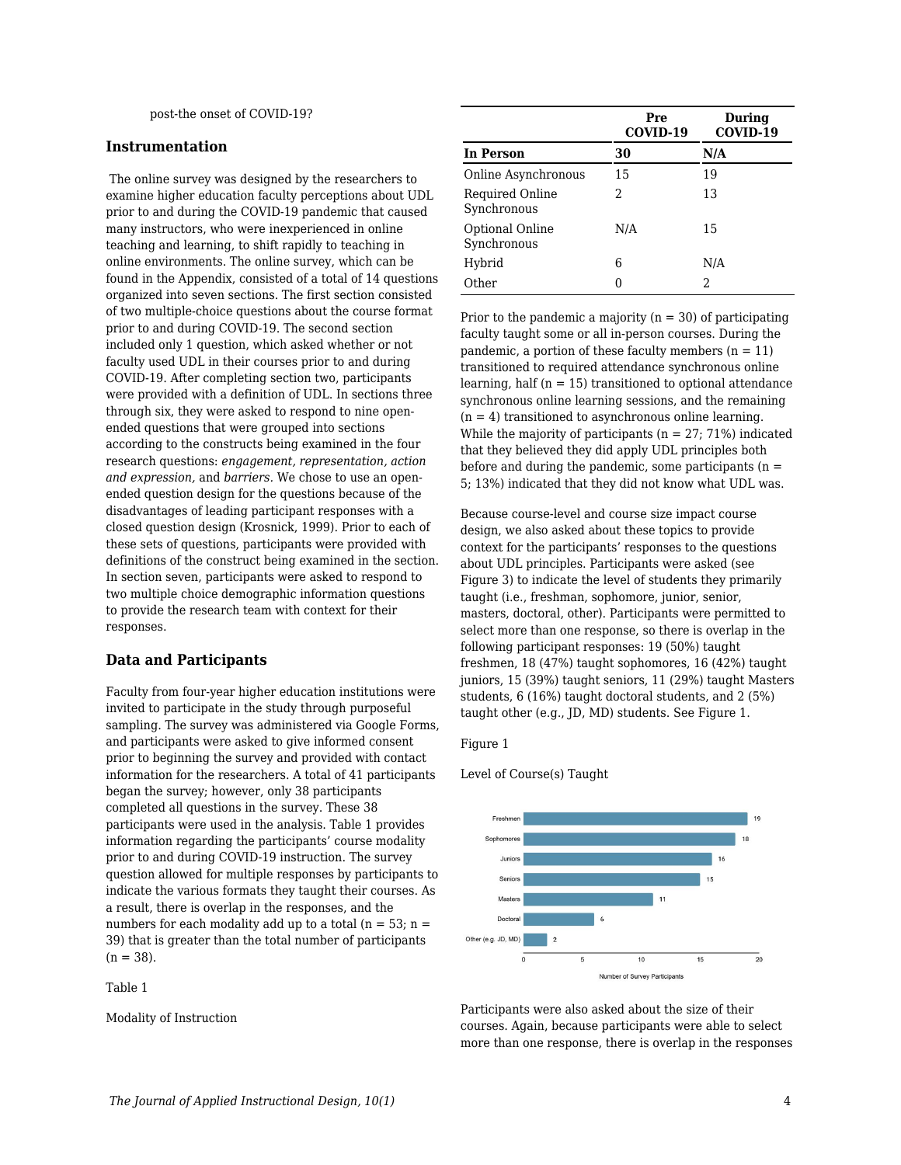## **Instrumentation**

 The online survey was designed by the researchers to examine higher education faculty perceptions about UDL prior to and during the COVID-19 pandemic that caused many instructors, who were inexperienced in online teaching and learning, to shift rapidly to teaching in online environments. The online survey, which can be found in the Appendix, consisted of a total of 14 questions organized into seven sections. The first section consisted of two multiple-choice questions about the course format prior to and during COVID-19. The second section included only 1 question, which asked whether or not faculty used UDL in their courses prior to and during COVID-19. After completing section two, participants were provided with a definition of UDL. In sections three through six, they were asked to respond to nine openended questions that were grouped into sections according to the constructs being examined in the four research questions: *engagement, representation, action and expression,* and *barriers.* We chose to use an openended question design for the questions because of the disadvantages of leading participant responses with a closed question design (Krosnick, 1999). Prior to each of these sets of questions, participants were provided with definitions of the construct being examined in the section. In section seven, participants were asked to respond to two multiple choice demographic information questions to provide the research team with context for their responses.

#### **Data and Participants**

Faculty from four-year higher education institutions were invited to participate in the study through purposeful sampling. The survey was administered via Google Forms, and participants were asked to give informed consent prior to beginning the survey and provided with contact information for the researchers. A total of 41 participants began the survey; however, only 38 participants completed all questions in the survey. These 38 participants were used in the analysis. Table 1 provides information regarding the participants' course modality prior to and during COVID-19 instruction. The survey question allowed for multiple responses by participants to indicate the various formats they taught their courses. As a result, there is overlap in the responses, and the numbers for each modality add up to a total ( $n = 53$ ;  $n =$ 39) that is greater than the total number of participants  $(n = 38)$ .

Table 1

Modality of Instruction

|                                | Pre<br>COVID-19 | <b>During</b><br>COVID-19 |
|--------------------------------|-----------------|---------------------------|
| <b>In Person</b>               | 30              | N/A                       |
| Online Asynchronous            | 15              | 19                        |
| Required Online<br>Synchronous | 2               | 13                        |
| Optional Online<br>Synchronous | N/A             | 15                        |
| Hybrid                         | 6               | N/A                       |
| Other                          |                 | 2                         |

Prior to the pandemic a majority  $(n = 30)$  of participating faculty taught some or all in-person courses. During the pandemic, a portion of these faculty members  $(n = 11)$ transitioned to required attendance synchronous online learning, half  $(n = 15)$  transitioned to optional attendance synchronous online learning sessions, and the remaining  $(n = 4)$  transitioned to asynchronous online learning. While the majority of participants ( $n = 27$ ; 71%) indicated that they believed they did apply UDL principles both before and during the pandemic, some participants  $(n =$ 5; 13%) indicated that they did not know what UDL was.

Because course-level and course size impact course design, we also asked about these topics to provide context for the participants' responses to the questions about UDL principles. Participants were asked (see Figure 3) to indicate the level of students they primarily taught (i.e., freshman, sophomore, junior, senior, masters, doctoral, other). Participants were permitted to select more than one response, so there is overlap in the following participant responses: 19 (50%) taught freshmen, 18 (47%) taught sophomores, 16 (42%) taught juniors, 15 (39%) taught seniors, 11 (29%) taught Masters students, 6 (16%) taught doctoral students, and 2 (5%) taught other (e.g., JD, MD) students. See Figure 1.

Figure 1

Level of Course(s) Taught



Participants were also asked about the size of their courses. Again, because participants were able to select more than one response, there is overlap in the responses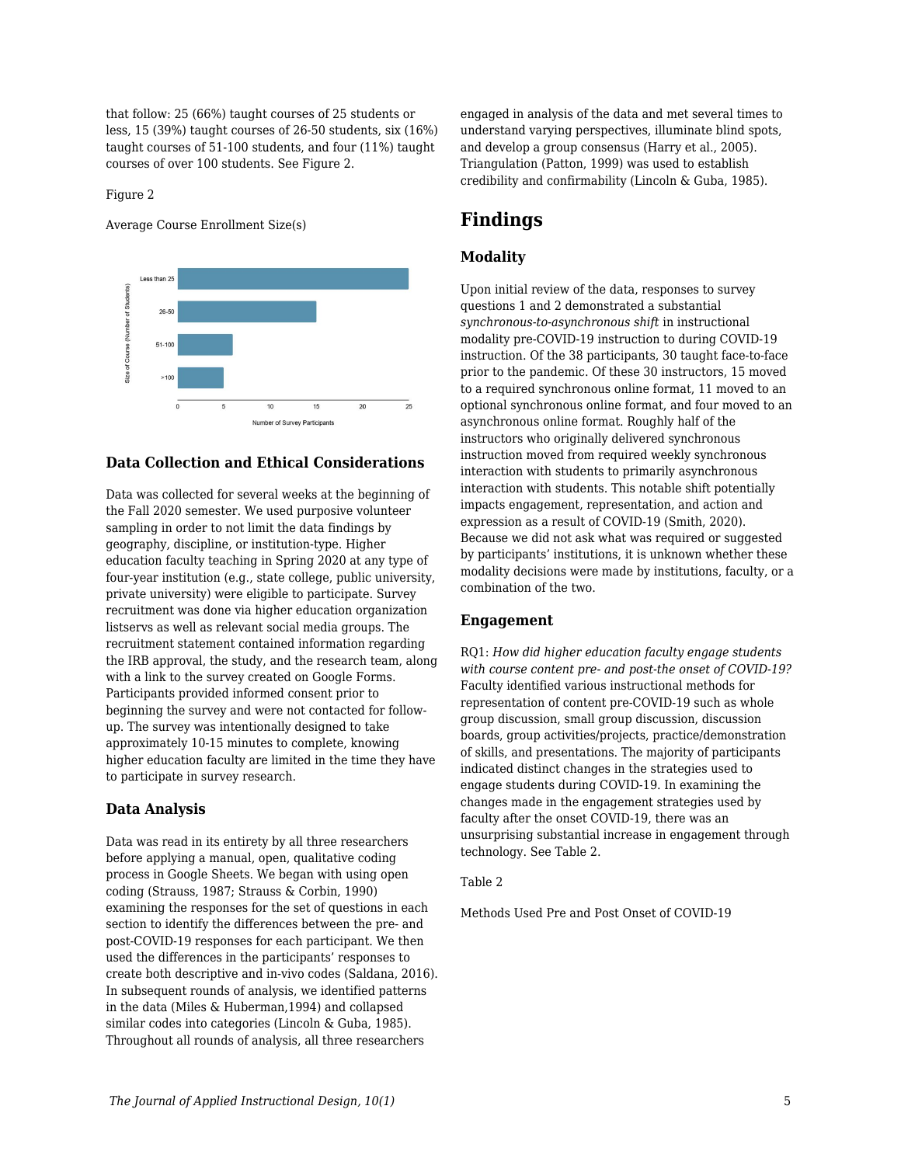that follow: 25 (66%) taught courses of 25 students or less, 15 (39%) taught courses of 26-50 students, six (16%) taught courses of 51-100 students, and four (11%) taught courses of over 100 students. See Figure 2.

#### Figure 2

Average Course Enrollment Size(s)



## **Data Collection and Ethical Considerations**

Data was collected for several weeks at the beginning of the Fall 2020 semester. We used purposive volunteer sampling in order to not limit the data findings by geography, discipline, or institution-type. Higher education faculty teaching in Spring 2020 at any type of four-year institution (e.g., state college, public university, private university) were eligible to participate. Survey recruitment was done via higher education organization listservs as well as relevant social media groups. The recruitment statement contained information regarding the IRB approval, the study, and the research team, along with a link to the survey created on Google Forms. Participants provided informed consent prior to beginning the survey and were not contacted for followup. The survey was intentionally designed to take approximately 10-15 minutes to complete, knowing higher education faculty are limited in the time they have to participate in survey research.

## **Data Analysis**

Data was read in its entirety by all three researchers before applying a manual, open, qualitative coding process in Google Sheets. We began with using open coding (Strauss, 1987; Strauss & Corbin, 1990) examining the responses for the set of questions in each section to identify the differences between the pre- and post-COVID-19 responses for each participant. We then used the differences in the participants' responses to create both descriptive and in-vivo codes (Saldana, 2016). In subsequent rounds of analysis, we identified patterns in the data (Miles & Huberman,1994) and collapsed similar codes into categories (Lincoln & Guba, 1985). Throughout all rounds of analysis, all three researchers

engaged in analysis of the data and met several times to understand varying perspectives, illuminate blind spots, and develop a group consensus (Harry et al., 2005). Triangulation (Patton, 1999) was used to establish credibility and confirmability (Lincoln & Guba, 1985).

## **Findings**

## **Modality**

Upon initial review of the data, responses to survey questions 1 and 2 demonstrated a substantial *synchronous-to-asynchronous shift* in instructional modality pre-COVID-19 instruction to during COVID-19 instruction. Of the 38 participants, 30 taught face-to-face prior to the pandemic. Of these 30 instructors, 15 moved to a required synchronous online format, 11 moved to an optional synchronous online format, and four moved to an asynchronous online format. Roughly half of the instructors who originally delivered synchronous instruction moved from required weekly synchronous interaction with students to primarily asynchronous interaction with students. This notable shift potentially impacts engagement, representation, and action and expression as a result of COVID-19 (Smith, 2020). Because we did not ask what was required or suggested by participants' institutions, it is unknown whether these modality decisions were made by institutions, faculty, or a combination of the two.

#### **Engagement**

RQ1: *How did higher education faculty engage students with course content pre- and post-the onset of COVID-19?* Faculty identified various instructional methods for representation of content pre-COVID-19 such as whole group discussion, small group discussion, discussion boards, group activities/projects, practice/demonstration of skills, and presentations. The majority of participants indicated distinct changes in the strategies used to engage students during COVID-19. In examining the changes made in the engagement strategies used by faculty after the onset COVID-19, there was an unsurprising substantial increase in engagement through technology. See Table 2.

### Table 2

Methods Used Pre and Post Onset of COVID-19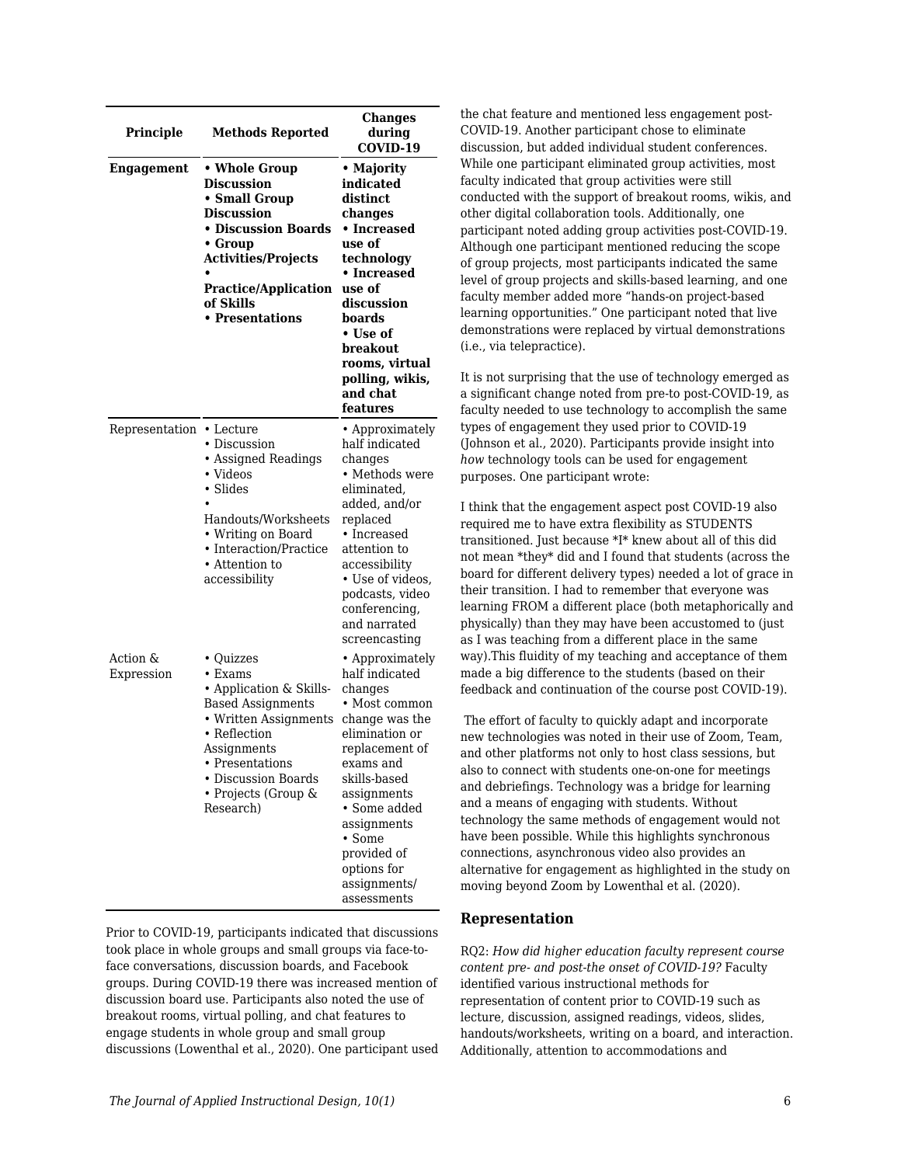| Principle              | <b>Methods Reported</b>                                                                                                                                                                                         | <b>Changes</b><br>during<br>COVID-19                                                                                                                                                                                                                                  |
|------------------------|-----------------------------------------------------------------------------------------------------------------------------------------------------------------------------------------------------------------|-----------------------------------------------------------------------------------------------------------------------------------------------------------------------------------------------------------------------------------------------------------------------|
| Engagement             | • Whole Group<br><b>Discussion</b><br>• Small Group<br><b>Discussion</b><br>• Discussion Boards<br>• Group<br><b>Activities/Projects</b><br><b>Practice/Application</b><br>of Skills<br>• Presentations         | • Majority<br>indicated<br>distinct<br>changes<br>• Increased<br>use of<br>technology<br>• Increased<br>use of<br>discussion<br>boards<br>• Use of<br>breakout<br>rooms, virtual<br>polling, wikis,<br>and chat<br>features                                           |
| Representation         | $\cdot$ Lecture<br>• Discussion<br>• Assigned Readings<br>• Videos<br>• Slides<br>Handouts/Worksheets<br>• Writing on Board<br>• Interaction/Practice<br>• Attention to<br>accessibility                        | • Approximately<br>half indicated<br>changes<br>• Methods were<br>eliminated,<br>added, and/or<br>replaced<br>• Increased<br>attention to<br>accessibility<br>• Use of videos,<br>podcasts, video<br>conferencing,<br>and narrated<br>screencasting                   |
| Action &<br>Expression | • Quizzes<br>• Exams<br>• Application & Skills-<br><b>Based Assignments</b><br>• Written Assignments<br>• Reflection<br>Assignments<br>Presentations<br>• Discussion Boards<br>• Projects (Group &<br>Research) | • Approximately<br>half indicated<br>changes<br>• Most common<br>change was the<br>elimination or<br>replacement of<br>exams and<br>skills-based<br>assignments<br>· Some added<br>assignments<br>• Some<br>provided of<br>options for<br>assignments/<br>assessments |

Prior to COVID-19, participants indicated that discussions took place in whole groups and small groups via face-toface conversations, discussion boards, and Facebook groups. During COVID-19 there was increased mention of discussion board use. Participants also noted the use of breakout rooms, virtual polling, and chat features to engage students in whole group and small group discussions (Lowenthal et al., 2020). One participant used the chat feature and mentioned less engagement post-COVID-19. Another participant chose to eliminate discussion, but added individual student conferences. While one participant eliminated group activities, most faculty indicated that group activities were still conducted with the support of breakout rooms, wikis, and other digital collaboration tools. Additionally, one participant noted adding group activities post-COVID-19. Although one participant mentioned reducing the scope of group projects, most participants indicated the same level of group projects and skills-based learning, and one faculty member added more "hands-on project-based learning opportunities." One participant noted that live demonstrations were replaced by virtual demonstrations (i.e., via telepractice).

It is not surprising that the use of technology emerged as a significant change noted from pre-to post-COVID-19, as faculty needed to use technology to accomplish the same types of engagement they used prior to COVID-19 (Johnson et al., 2020). Participants provide insight into *how* technology tools can be used for engagement purposes. One participant wrote:

I think that the engagement aspect post COVID-19 also required me to have extra flexibility as STUDENTS transitioned. Just because \*I\* knew about all of this did not mean \*they\* did and I found that students (across the board for different delivery types) needed a lot of grace in their transition. I had to remember that everyone was learning FROM a different place (both metaphorically and physically) than they may have been accustomed to (just as I was teaching from a different place in the same way).This fluidity of my teaching and acceptance of them made a big difference to the students (based on their feedback and continuation of the course post COVID-19).

The effort of faculty to quickly adapt and incorporate new technologies was noted in their use of Zoom, Team, and other platforms not only to host class sessions, but also to connect with students one-on-one for meetings and debriefings. Technology was a bridge for learning and a means of engaging with students. Without technology the same methods of engagement would not have been possible. While this highlights synchronous connections, asynchronous video also provides an alternative for engagement as highlighted in the study on moving beyond Zoom by Lowenthal et al. (2020).

## **Representation**

RQ2: *How did higher education faculty represent course content pre- and post-the onset of COVID-19?* Faculty identified various instructional methods for representation of content prior to COVID-19 such as lecture, discussion, assigned readings, videos, slides, handouts/worksheets, writing on a board, and interaction. Additionally, attention to accommodations and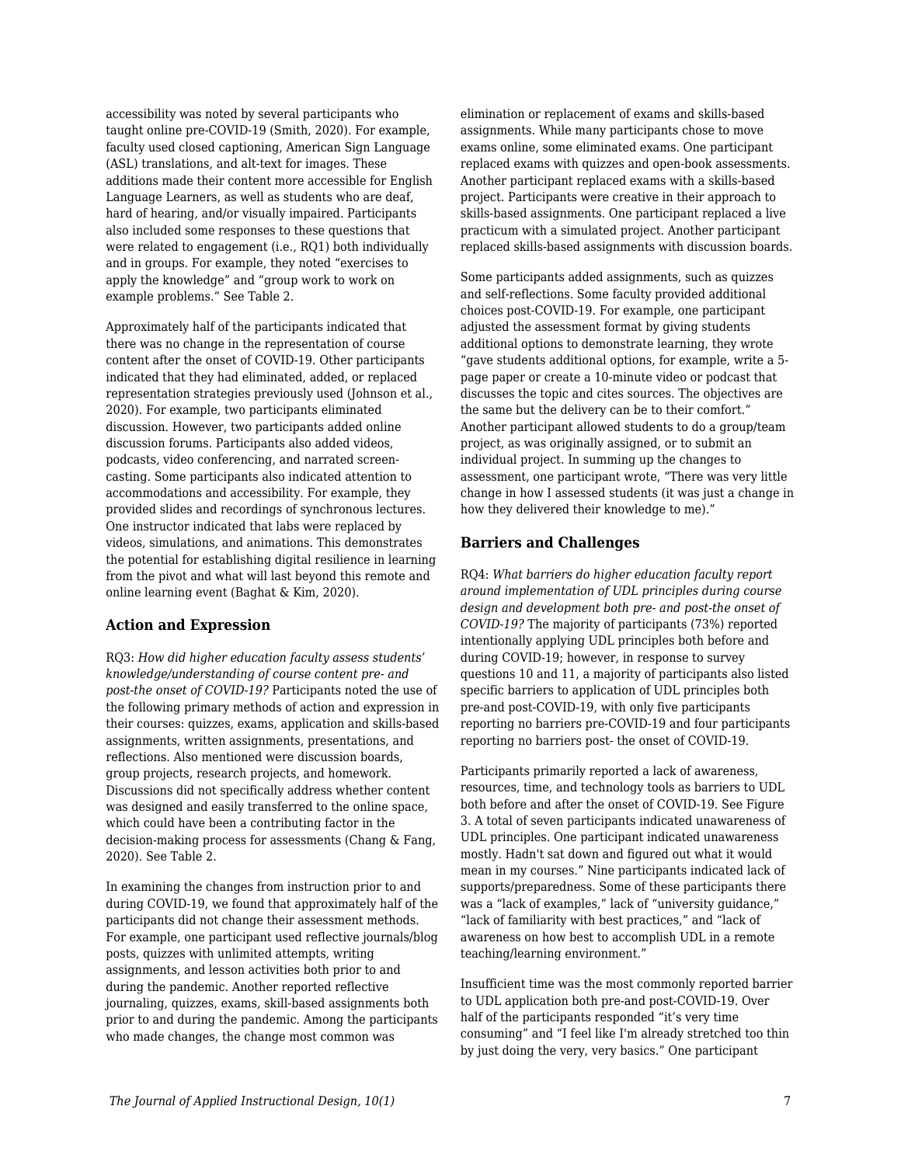accessibility was noted by several participants who taught online pre-COVID-19 (Smith, 2020). For example, faculty used closed captioning, American Sign Language (ASL) translations, and alt-text for images. These additions made their content more accessible for English Language Learners, as well as students who are deaf, hard of hearing, and/or visually impaired. Participants also included some responses to these questions that were related to engagement (i.e., RQ1) both individually and in groups. For example, they noted "exercises to apply the knowledge" and "group work to work on example problems." See Table 2.

Approximately half of the participants indicated that there was no change in the representation of course content after the onset of COVID-19. Other participants indicated that they had eliminated, added, or replaced representation strategies previously used (Johnson et al., 2020). For example, two participants eliminated discussion. However, two participants added online discussion forums. Participants also added videos, podcasts, video conferencing, and narrated screencasting. Some participants also indicated attention to accommodations and accessibility. For example, they provided slides and recordings of synchronous lectures. One instructor indicated that labs were replaced by videos, simulations, and animations. This demonstrates the potential for establishing digital resilience in learning from the pivot and what will last beyond this remote and online learning event (Baghat & Kim, 2020).

## **Action and Expression**

RQ3: *How did higher education faculty assess students' knowledge/understanding of course content pre- and post-the onset of COVID-19?* Participants noted the use of the following primary methods of action and expression in their courses: quizzes, exams, application and skills-based assignments, written assignments, presentations, and reflections. Also mentioned were discussion boards, group projects, research projects, and homework. Discussions did not specifically address whether content was designed and easily transferred to the online space, which could have been a contributing factor in the decision-making process for assessments (Chang & Fang, 2020). See Table 2.

In examining the changes from instruction prior to and during COVID-19, we found that approximately half of the participants did not change their assessment methods. For example, one participant used reflective journals/blog posts, quizzes with unlimited attempts, writing assignments, and lesson activities both prior to and during the pandemic. Another reported reflective journaling, quizzes, exams, skill-based assignments both prior to and during the pandemic. Among the participants who made changes, the change most common was

elimination or replacement of exams and skills-based assignments. While many participants chose to move exams online, some eliminated exams. One participant replaced exams with quizzes and open-book assessments. Another participant replaced exams with a skills-based project. Participants were creative in their approach to skills-based assignments. One participant replaced a live practicum with a simulated project. Another participant replaced skills-based assignments with discussion boards.

Some participants added assignments, such as quizzes and self-reflections. Some faculty provided additional choices post-COVID-19. For example, one participant adjusted the assessment format by giving students additional options to demonstrate learning, they wrote "gave students additional options, for example, write a 5 page paper or create a 10-minute video or podcast that discusses the topic and cites sources. The objectives are the same but the delivery can be to their comfort." Another participant allowed students to do a group/team project, as was originally assigned, or to submit an individual project. In summing up the changes to assessment, one participant wrote, "There was very little change in how I assessed students (it was just a change in how they delivered their knowledge to me)."

### **Barriers and Challenges**

RQ4: *What barriers do higher education faculty report around implementation of UDL principles during course design and development both pre- and post-the onset of COVID-19?* The majority of participants (73%) reported intentionally applying UDL principles both before and during COVID-19; however, in response to survey questions 10 and 11, a majority of participants also listed specific barriers to application of UDL principles both pre-and post-COVID-19, with only five participants reporting no barriers pre-COVID-19 and four participants reporting no barriers post- the onset of COVID-19.

Participants primarily reported a lack of awareness, resources, time, and technology tools as barriers to UDL both before and after the onset of COVID-19. See Figure 3. A total of seven participants indicated unawareness of UDL principles. One participant indicated unawareness mostly. Hadn't sat down and figured out what it would mean in my courses." Nine participants indicated lack of supports/preparedness. Some of these participants there was a "lack of examples," lack of "university guidance," "lack of familiarity with best practices," and "lack of awareness on how best to accomplish UDL in a remote teaching/learning environment."

Insufficient time was the most commonly reported barrier to UDL application both pre-and post-COVID-19. Over half of the participants responded "it's very time consuming" and "I feel like I'm already stretched too thin by just doing the very, very basics." One participant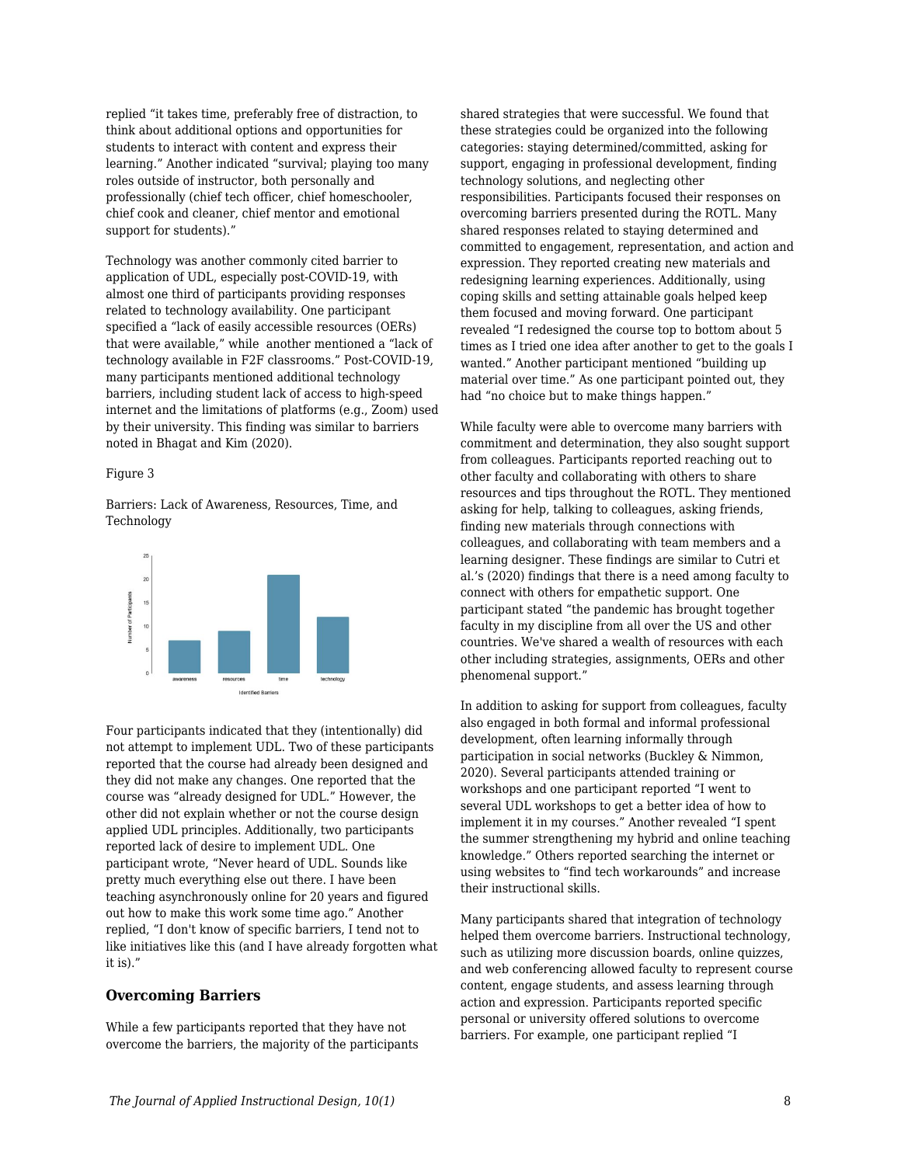replied "it takes time, preferably free of distraction, to think about additional options and opportunities for students to interact with content and express their learning." Another indicated "survival; playing too many roles outside of instructor, both personally and professionally (chief tech officer, chief homeschooler, chief cook and cleaner, chief mentor and emotional support for students)."

Technology was another commonly cited barrier to application of UDL, especially post-COVID-19, with almost one third of participants providing responses related to technology availability. One participant specified a "lack of easily accessible resources (OERs) that were available," while another mentioned a "lack of technology available in F2F classrooms." Post-COVID-19, many participants mentioned additional technology barriers, including student lack of access to high-speed internet and the limitations of platforms (e.g., Zoom) used by their university. This finding was similar to barriers noted in Bhagat and Kim (2020).

#### Figure 3

Barriers: Lack of Awareness, Resources, Time, and **Technology** 



Four participants indicated that they (intentionally) did not attempt to implement UDL. Two of these participants reported that the course had already been designed and they did not make any changes. One reported that the course was "already designed for UDL." However, the other did not explain whether or not the course design applied UDL principles. Additionally, two participants reported lack of desire to implement UDL. One participant wrote, "Never heard of UDL. Sounds like pretty much everything else out there. I have been teaching asynchronously online for 20 years and figured out how to make this work some time ago." Another replied, "I don't know of specific barriers, I tend not to like initiatives like this (and I have already forgotten what it is)."

## **Overcoming Barriers**

While a few participants reported that they have not overcome the barriers, the majority of the participants shared strategies that were successful. We found that these strategies could be organized into the following categories: staying determined/committed, asking for support, engaging in professional development, finding technology solutions, and neglecting other responsibilities. Participants focused their responses on overcoming barriers presented during the ROTL. Many shared responses related to staying determined and committed to engagement, representation, and action and expression. They reported creating new materials and redesigning learning experiences. Additionally, using coping skills and setting attainable goals helped keep them focused and moving forward. One participant revealed "I redesigned the course top to bottom about 5 times as I tried one idea after another to get to the goals I wanted." Another participant mentioned "building up material over time." As one participant pointed out, they had "no choice but to make things happen."

While faculty were able to overcome many barriers with commitment and determination, they also sought support from colleagues. Participants reported reaching out to other faculty and collaborating with others to share resources and tips throughout the ROTL. They mentioned asking for help, talking to colleagues, asking friends, finding new materials through connections with colleagues, and collaborating with team members and a learning designer. These findings are similar to Cutri et al.'s (2020) findings that there is a need among faculty to connect with others for empathetic support. One participant stated "the pandemic has brought together faculty in my discipline from all over the US and other countries. We've shared a wealth of resources with each other including strategies, assignments, OERs and other phenomenal support."

In addition to asking for support from colleagues, faculty also engaged in both formal and informal professional development, often learning informally through participation in social networks (Buckley & Nimmon, 2020). Several participants attended training or workshops and one participant reported "I went to several UDL workshops to get a better idea of how to implement it in my courses." Another revealed "I spent the summer strengthening my hybrid and online teaching knowledge." Others reported searching the internet or using websites to "find tech workarounds" and increase their instructional skills.

Many participants shared that integration of technology helped them overcome barriers. Instructional technology, such as utilizing more discussion boards, online quizzes, and web conferencing allowed faculty to represent course content, engage students, and assess learning through action and expression. Participants reported specific personal or university offered solutions to overcome barriers. For example, one participant replied "I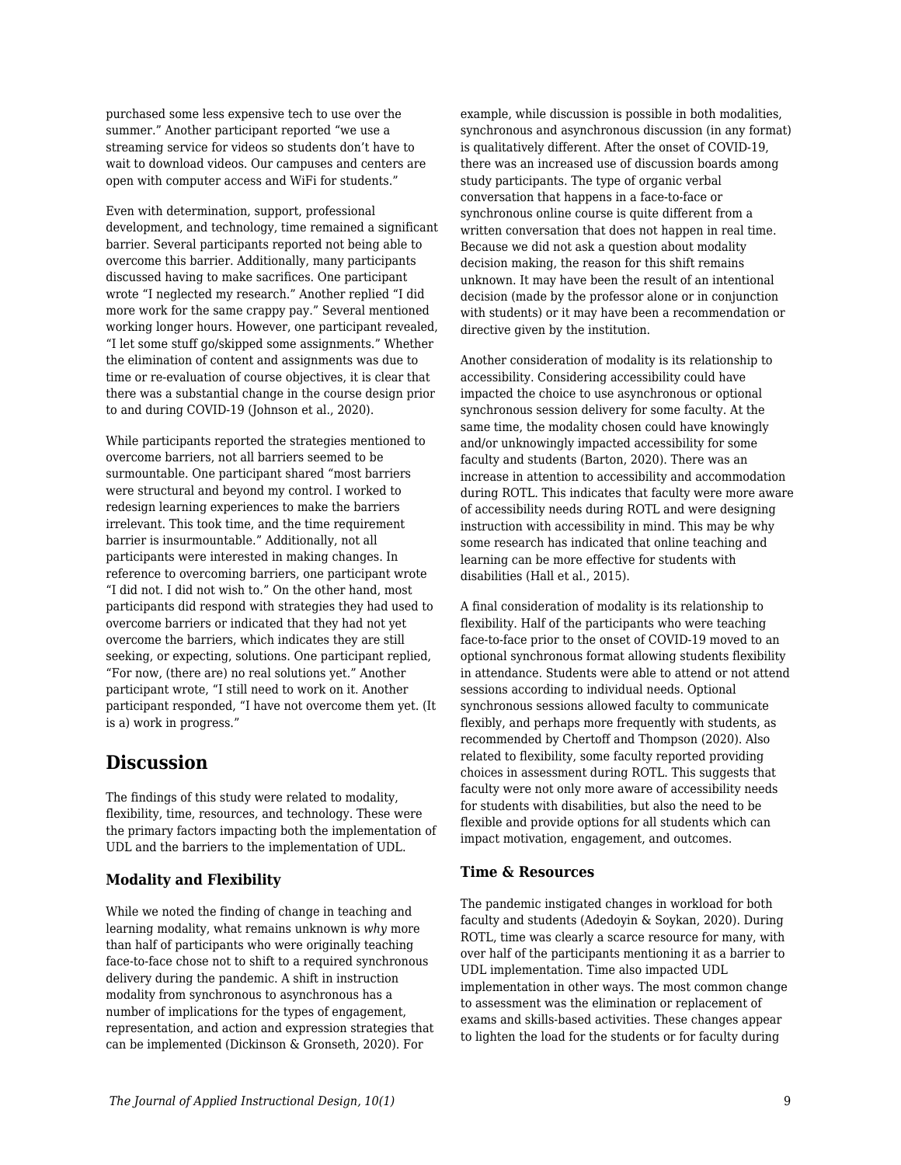purchased some less expensive tech to use over the summer." Another participant reported "we use a streaming service for videos so students don't have to wait to download videos. Our campuses and centers are open with computer access and WiFi for students."

Even with determination, support, professional development, and technology, time remained a significant barrier. Several participants reported not being able to overcome this barrier. Additionally, many participants discussed having to make sacrifices. One participant wrote "I neglected my research." Another replied "I did more work for the same crappy pay." Several mentioned working longer hours. However, one participant revealed, "I let some stuff go/skipped some assignments." Whether the elimination of content and assignments was due to time or re-evaluation of course objectives, it is clear that there was a substantial change in the course design prior to and during COVID-19 (Johnson et al., 2020).

While participants reported the strategies mentioned to overcome barriers, not all barriers seemed to be surmountable. One participant shared "most barriers were structural and beyond my control. I worked to redesign learning experiences to make the barriers irrelevant. This took time, and the time requirement barrier is insurmountable." Additionally, not all participants were interested in making changes. In reference to overcoming barriers, one participant wrote "I did not. I did not wish to." On the other hand, most participants did respond with strategies they had used to overcome barriers or indicated that they had not yet overcome the barriers, which indicates they are still seeking, or expecting, solutions. One participant replied, "For now, (there are) no real solutions yet." Another participant wrote, "I still need to work on it. Another participant responded, "I have not overcome them yet. (It is a) work in progress."

## **Discussion**

The findings of this study were related to modality, flexibility, time, resources, and technology. These were the primary factors impacting both the implementation of UDL and the barriers to the implementation of UDL.

## **Modality and Flexibility**

While we noted the finding of change in teaching and learning modality, what remains unknown is *why* more than half of participants who were originally teaching face-to-face chose not to shift to a required synchronous delivery during the pandemic. A shift in instruction modality from synchronous to asynchronous has a number of implications for the types of engagement, representation, and action and expression strategies that can be implemented (Dickinson & Gronseth, 2020). For

example, while discussion is possible in both modalities, synchronous and asynchronous discussion (in any format) is qualitatively different. After the onset of COVID-19, there was an increased use of discussion boards among study participants. The type of organic verbal conversation that happens in a face-to-face or synchronous online course is quite different from a written conversation that does not happen in real time. Because we did not ask a question about modality decision making, the reason for this shift remains unknown. It may have been the result of an intentional decision (made by the professor alone or in conjunction with students) or it may have been a recommendation or directive given by the institution.

Another consideration of modality is its relationship to accessibility. Considering accessibility could have impacted the choice to use asynchronous or optional synchronous session delivery for some faculty. At the same time, the modality chosen could have knowingly and/or unknowingly impacted accessibility for some faculty and students (Barton, 2020). There was an increase in attention to accessibility and accommodation during ROTL. This indicates that faculty were more aware of accessibility needs during ROTL and were designing instruction with accessibility in mind. This may be why some research has indicated that online teaching and learning can be more effective for students with disabilities (Hall et al., 2015).

A final consideration of modality is its relationship to flexibility. Half of the participants who were teaching face-to-face prior to the onset of COVID-19 moved to an optional synchronous format allowing students flexibility in attendance. Students were able to attend or not attend sessions according to individual needs. Optional synchronous sessions allowed faculty to communicate flexibly, and perhaps more frequently with students, as recommended by Chertoff and Thompson (2020). Also related to flexibility, some faculty reported providing choices in assessment during ROTL. This suggests that faculty were not only more aware of accessibility needs for students with disabilities, but also the need to be flexible and provide options for all students which can impact motivation, engagement, and outcomes.

## **Time & Resources**

The pandemic instigated changes in workload for both faculty and students (Adedoyin & Soykan, 2020). During ROTL, time was clearly a scarce resource for many, with over half of the participants mentioning it as a barrier to UDL implementation. Time also impacted UDL implementation in other ways. The most common change to assessment was the elimination or replacement of exams and skills-based activities. These changes appear to lighten the load for the students or for faculty during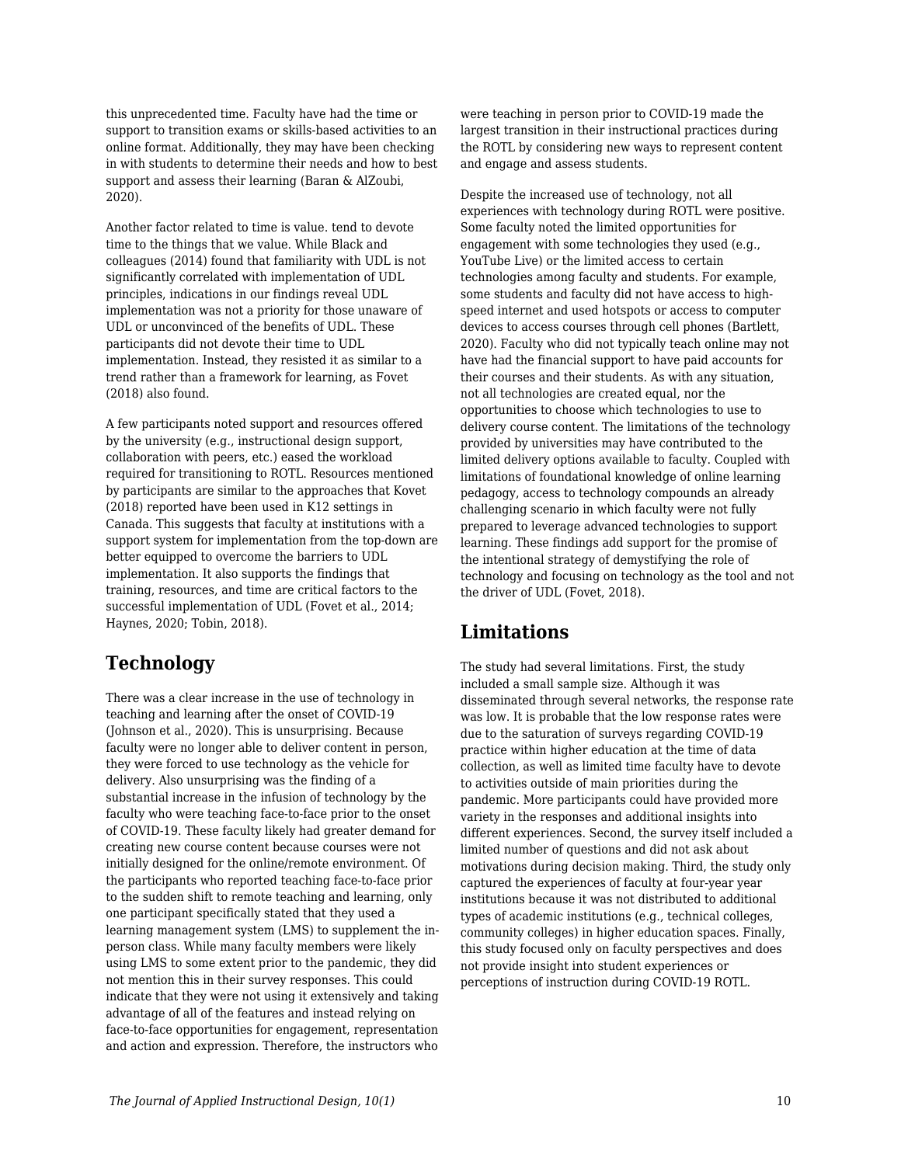this unprecedented time. Faculty have had the time or support to transition exams or skills-based activities to an online format. Additionally, they may have been checking in with students to determine their needs and how to best support and assess their learning (Baran & AlZoubi, 2020).

Another factor related to time is value. tend to devote time to the things that we value. While Black and colleagues (2014) found that familiarity with UDL is not significantly correlated with implementation of UDL principles, indications in our findings reveal UDL implementation was not a priority for those unaware of UDL or unconvinced of the benefits of UDL. These participants did not devote their time to UDL implementation. Instead, they resisted it as similar to a trend rather than a framework for learning, as Fovet (2018) also found.

A few participants noted support and resources offered by the university (e.g., instructional design support, collaboration with peers, etc.) eased the workload required for transitioning to ROTL. Resources mentioned by participants are similar to the approaches that Kovet (2018) reported have been used in K12 settings in Canada. This suggests that faculty at institutions with a support system for implementation from the top-down are better equipped to overcome the barriers to UDL implementation. It also supports the findings that training, resources, and time are critical factors to the successful implementation of UDL (Fovet et al., 2014; Haynes, 2020; Tobin, 2018).

## **Technology**

There was a clear increase in the use of technology in teaching and learning after the onset of COVID-19 (Johnson et al., 2020). This is unsurprising. Because faculty were no longer able to deliver content in person, they were forced to use technology as the vehicle for delivery. Also unsurprising was the finding of a substantial increase in the infusion of technology by the faculty who were teaching face-to-face prior to the onset of COVID-19. These faculty likely had greater demand for creating new course content because courses were not initially designed for the online/remote environment. Of the participants who reported teaching face-to-face prior to the sudden shift to remote teaching and learning, only one participant specifically stated that they used a learning management system (LMS) to supplement the inperson class. While many faculty members were likely using LMS to some extent prior to the pandemic, they did not mention this in their survey responses. This could indicate that they were not using it extensively and taking advantage of all of the features and instead relying on face-to-face opportunities for engagement, representation and action and expression. Therefore, the instructors who

were teaching in person prior to COVID-19 made the largest transition in their instructional practices during the ROTL by considering new ways to represent content and engage and assess students.

Despite the increased use of technology, not all experiences with technology during ROTL were positive. Some faculty noted the limited opportunities for engagement with some technologies they used (e.g., YouTube Live) or the limited access to certain technologies among faculty and students. For example, some students and faculty did not have access to highspeed internet and used hotspots or access to computer devices to access courses through cell phones (Bartlett, 2020). Faculty who did not typically teach online may not have had the financial support to have paid accounts for their courses and their students. As with any situation, not all technologies are created equal, nor the opportunities to choose which technologies to use to delivery course content. The limitations of the technology provided by universities may have contributed to the limited delivery options available to faculty. Coupled with limitations of foundational knowledge of online learning pedagogy, access to technology compounds an already challenging scenario in which faculty were not fully prepared to leverage advanced technologies to support learning. These findings add support for the promise of the intentional strategy of demystifying the role of technology and focusing on technology as the tool and not the driver of UDL (Fovet, 2018).

## **Limitations**

The study had several limitations. First, the study included a small sample size. Although it was disseminated through several networks, the response rate was low. It is probable that the low response rates were due to the saturation of surveys regarding COVID-19 practice within higher education at the time of data collection, as well as limited time faculty have to devote to activities outside of main priorities during the pandemic. More participants could have provided more variety in the responses and additional insights into different experiences. Second, the survey itself included a limited number of questions and did not ask about motivations during decision making. Third, the study only captured the experiences of faculty at four-year year institutions because it was not distributed to additional types of academic institutions (e.g., technical colleges, community colleges) in higher education spaces. Finally, this study focused only on faculty perspectives and does not provide insight into student experiences or perceptions of instruction during COVID-19 ROTL.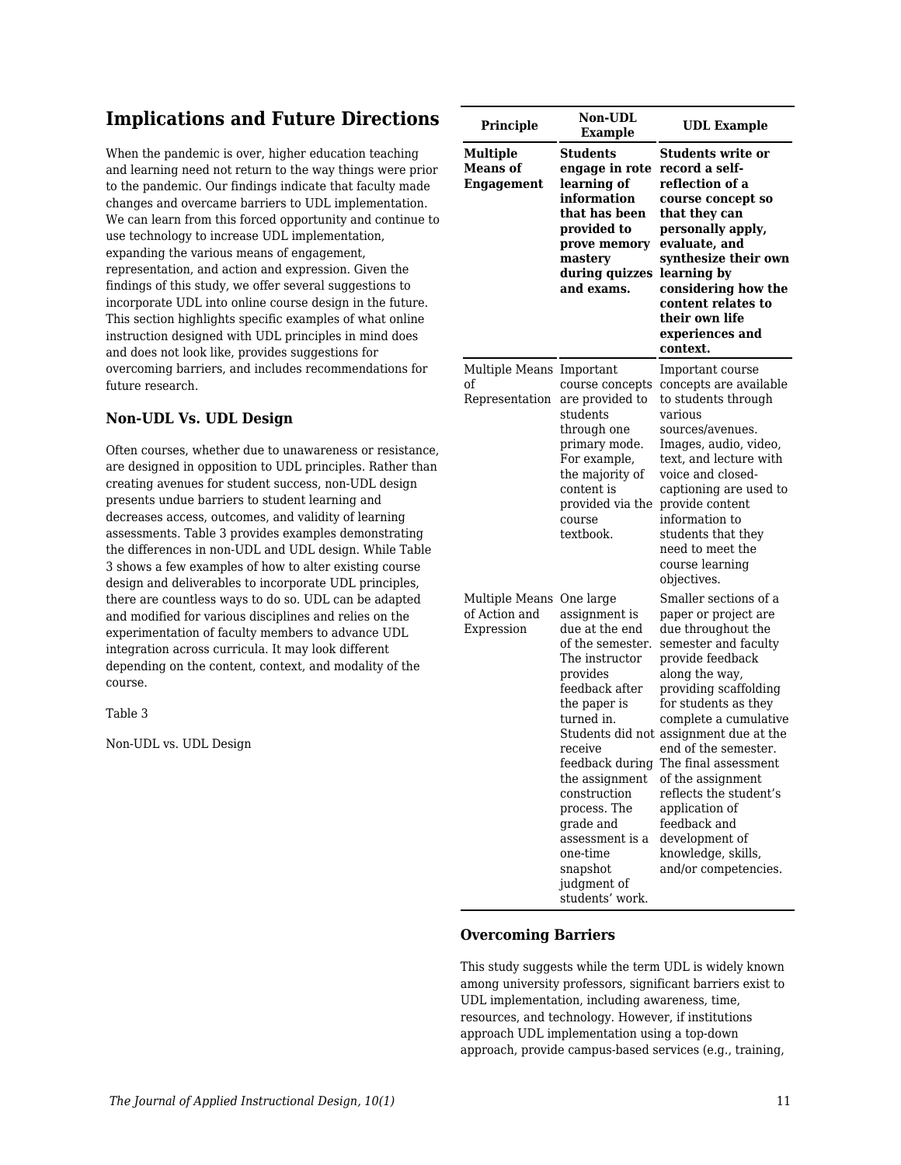## **Implications and Future Directions**

When the pandemic is over, higher education teaching and learning need not return to the way things were prior to the pandemic. Our findings indicate that faculty made changes and overcame barriers to UDL implementation. We can learn from this forced opportunity and continue to use technology to increase UDL implementation, expanding the various means of engagement, representation, and action and expression. Given the findings of this study, we offer several suggestions to incorporate UDL into online course design in the future. This section highlights specific examples of what online instruction designed with UDL principles in mind does and does not look like, provides suggestions for overcoming barriers, and includes recommendations for future research.

## **Non-UDL Vs. UDL Design**

Often courses, whether due to unawareness or resistance, are designed in opposition to UDL principles. Rather than creating avenues for student success, non-UDL design presents undue barriers to student learning and decreases access, outcomes, and validity of learning assessments. Table 3 provides examples demonstrating the differences in non-UDL and UDL design. While Table 3 shows a few examples of how to alter existing course design and deliverables to incorporate UDL principles, there are countless ways to do so. UDL can be adapted and modified for various disciplines and relies on the experimentation of faculty members to advance UDL integration across curricula. It may look different depending on the content, context, and modality of the course.

Table 3

Non-UDL vs. UDL Design

| Principle                                        | <b>Non-UDL</b><br><b>Example</b>                                                                                                                                                                                                                                                                      | <b>UDL Example</b>                                                                                                                                                                                                                                                                                                                                                                                                                                                     |
|--------------------------------------------------|-------------------------------------------------------------------------------------------------------------------------------------------------------------------------------------------------------------------------------------------------------------------------------------------------------|------------------------------------------------------------------------------------------------------------------------------------------------------------------------------------------------------------------------------------------------------------------------------------------------------------------------------------------------------------------------------------------------------------------------------------------------------------------------|
| <b>Multiple</b><br><b>Means</b> of<br>Engagement | <b>Students</b><br>engage in rote<br>learning of<br>information<br>that has been<br>provided to<br>prove memory<br>mastery<br>during quizzes<br>and exams.                                                                                                                                            | <b>Students write or</b><br>record a self-<br>reflection of a<br>course concept so<br>that they can<br>personally apply,<br>evaluate, and<br>synthesize their own<br>learning by<br>considering how the<br>content relates to<br>their own life<br>experiences and<br>context.                                                                                                                                                                                         |
| Multiple Means Important<br>of<br>Representation | course concepts<br>are provided to<br>students<br>through one<br>primary mode.<br>For example,<br>the majority of<br>content is<br>provided via the<br>course<br>textbook.                                                                                                                            | Important course<br>concepts are available<br>to students through<br>various<br>sources/avenues.<br>Images, audio, video,<br>text, and lecture with<br>voice and closed-<br>captioning are used to<br>provide content<br>information to<br>students that they<br>need to meet the<br>course learning<br>objectives.                                                                                                                                                    |
| Multiple Means<br>of Action and<br>Expression    | One large<br>assignment is<br>due at the end<br>of the semester.<br>The instructor<br>provides<br>feedback after<br>the paper is<br>turned in.<br>receive<br>the assignment<br>construction<br>process. The<br>grade and<br>assessment is a<br>one-time<br>snapshot<br>judgment of<br>students' work. | Smaller sections of a<br>paper or project are<br>due throughout the<br>semester and faculty<br>provide feedback<br>along the way,<br>providing scaffolding<br>for students as they<br>complete a cumulative<br>Students did not assignment due at the<br>end of the semester.<br>feedback during The final assessment<br>of the assignment<br>reflects the student's<br>application of<br>feedback and<br>development of<br>knowledge, skills,<br>and/or competencies. |

## **Overcoming Barriers**

This study suggests while the term UDL is widely known among university professors, significant barriers exist to UDL implementation, including awareness, time, resources, and technology. However, if institutions approach UDL implementation using a top-down approach, provide campus-based services (e.g., training,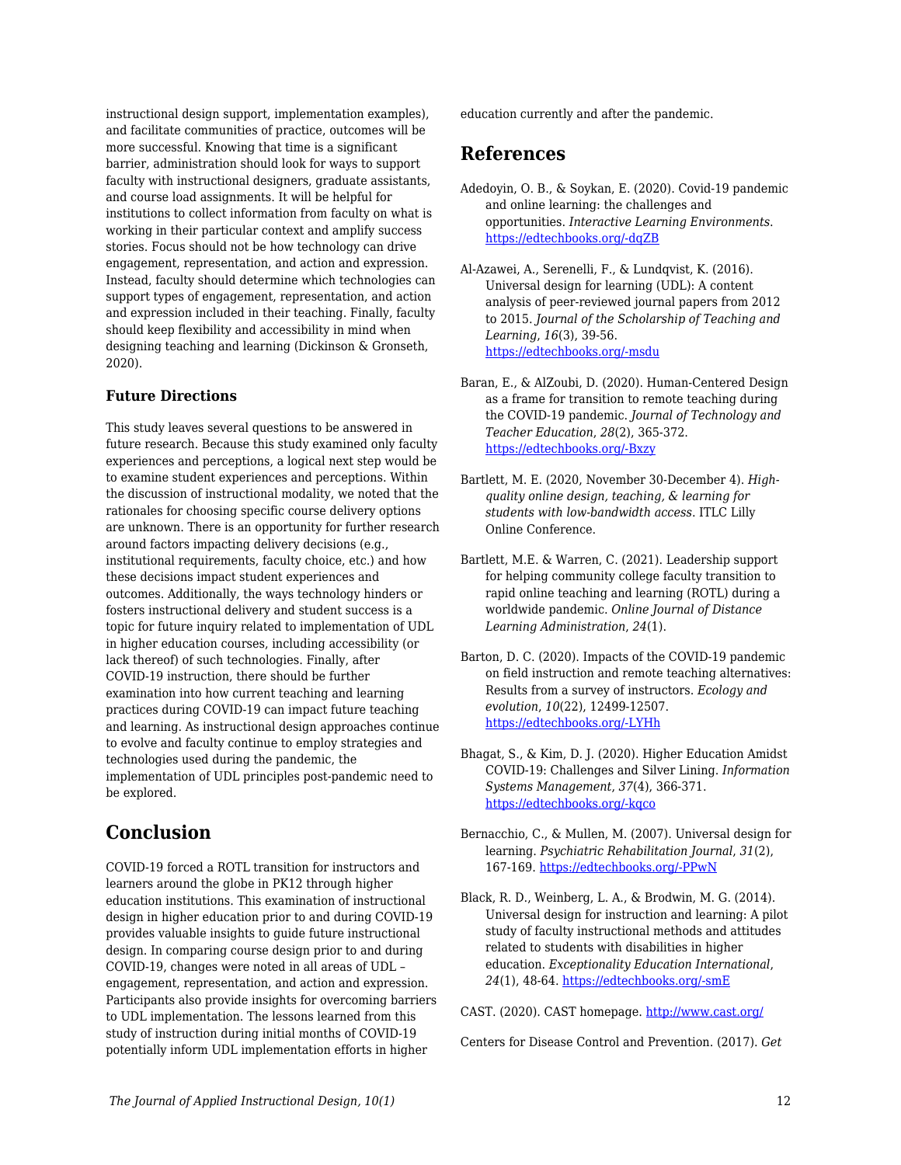instructional design support, implementation examples), and facilitate communities of practice, outcomes will be more successful. Knowing that time is a significant barrier, administration should look for ways to support faculty with instructional designers, graduate assistants, and course load assignments. It will be helpful for institutions to collect information from faculty on what is working in their particular context and amplify success stories. Focus should not be how technology can drive engagement, representation, and action and expression. Instead, faculty should determine which technologies can support types of engagement, representation, and action and expression included in their teaching. Finally, faculty should keep flexibility and accessibility in mind when designing teaching and learning (Dickinson & Gronseth, 2020).

## **Future Directions**

This study leaves several questions to be answered in future research. Because this study examined only faculty experiences and perceptions, a logical next step would be to examine student experiences and perceptions. Within the discussion of instructional modality, we noted that the rationales for choosing specific course delivery options are unknown. There is an opportunity for further research around factors impacting delivery decisions (e.g., institutional requirements, faculty choice, etc.) and how these decisions impact student experiences and outcomes. Additionally, the ways technology hinders or fosters instructional delivery and student success is a topic for future inquiry related to implementation of UDL in higher education courses, including accessibility (or lack thereof) of such technologies. Finally, after COVID-19 instruction, there should be further examination into how current teaching and learning practices during COVID-19 can impact future teaching and learning. As instructional design approaches continue to evolve and faculty continue to employ strategies and technologies used during the pandemic, the implementation of UDL principles post-pandemic need to be explored.

## **Conclusion**

COVID-19 forced a ROTL transition for instructors and learners around the globe in PK12 through higher education institutions. This examination of instructional design in higher education prior to and during COVID-19 provides valuable insights to guide future instructional design. In comparing course design prior to and during COVID-19, changes were noted in all areas of UDL – engagement, representation, and action and expression. Participants also provide insights for overcoming barriers to UDL implementation. The lessons learned from this study of instruction during initial months of COVID-19 potentially inform UDL implementation efforts in higher

education currently and after the pandemic.

## **References**

- Adedoyin, O. B., & Soykan, E. (2020). Covid-19 pandemic and online learning: the challenges and opportunities. *Interactive Learning Environments*. [https://edtechbooks.org/-dqZB](https://doi.org/10.1080/10494820.2020.1813180)
- Al-Azawei, A., Serenelli, F., & Lundqvist, K. (2016). Universal design for learning (UDL): A content analysis of peer-reviewed journal papers from 2012 to 2015. *Journal of the Scholarship of Teaching and Learning*, *16*(3), 39-56. [https://edtechbooks.org/-msdu](https://doi.org/10.14434/josotl.v16i3.19295)
- Baran, E., & AlZoubi, D. (2020). Human-Centered Design as a frame for transition to remote teaching during the COVID-19 pandemic. *Journal of Technology and Teacher Education*, *28*(2), 365-372. [https://edtechbooks.org/-Bxzy](https://www.learntechlib.org/primary/p/216077/)
- Bartlett, M. E. (2020, November 30-December 4). *Highquality online design, teaching, & learning for students with low-bandwidth access*. ITLC Lilly Online Conference.
- Bartlett, M.E. & Warren, C. (2021). Leadership support for helping community college faculty transition to rapid online teaching and learning (ROTL) during a worldwide pandemic. *Online Journal of Distance Learning Administration*, *24*(1).
- Barton, D. C. (2020). Impacts of the COVID‐19 pandemic on field instruction and remote teaching alternatives: Results from a survey of instructors. *Ecology and evolution*, *10*(22), 12499-12507. [https://edtechbooks.org/-LYHh](https://doi.org/10.1002/ece3.6628)
- Bhagat, S., & Kim, D. J. (2020). Higher Education Amidst COVID-19: Challenges and Silver Lining. *Information Systems Management*, *37*(4), 366-371. [https://edtechbooks.org/-kqco](https://doi.org/10.1080/10580530.2020.1824040)
- Bernacchio, C., & Mullen, M. (2007). Universal design for learning. *Psychiatric Rehabilitation Journal*, *31*(2), 167-169. [https://edtechbooks.org/-PPwN](https://psycnet.apa.org/doi/10.2975/31.2.2007.167.169)
- Black, R. D., Weinberg, L. A., & Brodwin, M. G. (2014). Universal design for instruction and learning: A pilot study of faculty instructional methods and attitudes related to students with disabilities in higher education. *Exceptionality Education International*, *24*(1), 48-64. [https://edtechbooks.org/-smE](https://doi.org/10.5206/eei.v24i1.7710)

CAST. (2020). CAST homepage.<http://www.cast.org/>

Centers for Disease Control and Prevention. (2017). *Get*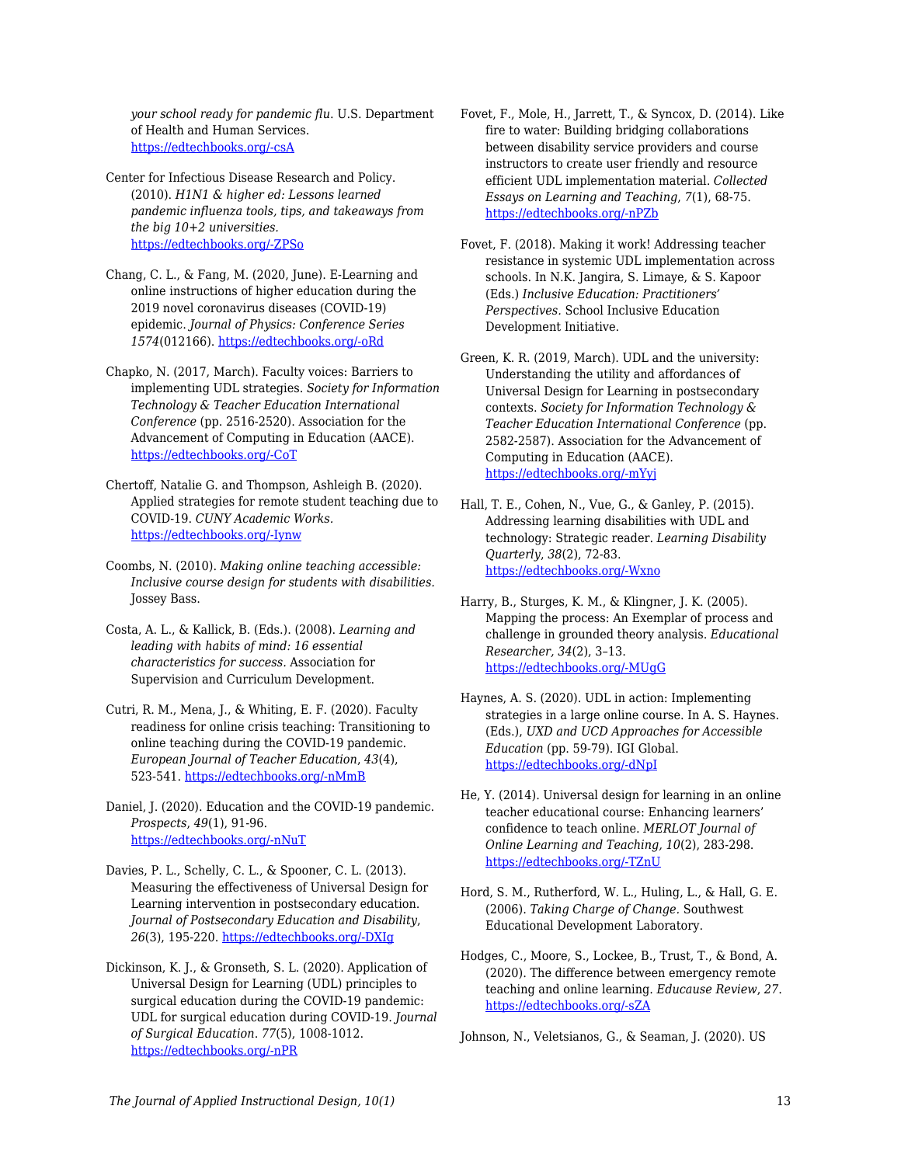*your school ready for pandemic flu*. U.S. Department of Health and Human Services. [https://edtechbooks.org/-csA](https://www.cdc.gov/nonpharmaceutical-interventions/pdf/gr-pan-flu-ed-set.pdf)

Center for Infectious Disease Research and Policy. (2010). *H1N1 & higher ed: Lessons learned pandemic influenza tools, tips, and takeaways from the big 10+2 universities.* [https://edtechbooks.org/-ZPSo](https://www.cidrap.umn.edu/sites/default/files/public/downloads/big102webfinal_0.pdf)

Chang, C. L., & Fang, M. (2020, June). E-Learning and online instructions of higher education during the 2019 novel coronavirus diseases (COVID-19) epidemic. *Journal of Physics: Conference Series 1574*(012166). [https://edtechbooks.org/-oRd](https://iopscience.iop.org/article/10.1088/1742-6596/1574/1/012166/meta)

Chapko, N. (2017, March). Faculty voices: Barriers to implementing UDL strategies. *Society for Information Technology & Teacher Education International Conference* (pp. 2516-2520). Association for the Advancement of Computing in Education (AACE). [https://edtechbooks.org/-CoT](https://www.learntechlib.org/p/177559/)

Chertoff, Natalie G. and Thompson, Ashleigh B. (2020). Applied strategies for remote student teaching due to COVID-19. *CUNY Academic Works.* [https://edtechbooks.org/-Iynw](https://academicworks.cuny.edu/oaa_pubs/18)

Coombs, N. (2010). *Making online teaching accessible: Inclusive course design for students with disabilities.* Jossey Bass.

Costa, A. L., & Kallick, B. (Eds.). (2008). *Learning and leading with habits of mind: 16 essential characteristics for success.* Association for Supervision and Curriculum Development.

Cutri, R. M., Mena, J., & Whiting, E. F. (2020). Faculty readiness for online crisis teaching: Transitioning to online teaching during the COVID-19 pandemic. *European Journal of Teacher Education*, *43*(4), 523-541. [https://edtechbooks.org/-nMmB](https://doi.org/10.1080/02619768.2020.1815702)

Daniel, J. (2020). Education and the COVID-19 pandemic. *Prospects*, *49*(1), 91-96. [https://edtechbooks.org/-nNuT](https://doi.org/10.1007/s11125-020-09464-3)

Davies, P. L., Schelly, C. L., & Spooner, C. L. (2013). Measuring the effectiveness of Universal Design for Learning intervention in postsecondary education. *Journal of Postsecondary Education and Disability*, *26*(3), 195-220. [https://edtechbooks.org/-DXIg](https://eric.ed.gov/?id=EJ1026883)

Dickinson, K. J., & Gronseth, S. L. (2020). Application of Universal Design for Learning (UDL) principles to surgical education during the COVID-19 pandemic: UDL for surgical education during COVID-19. *Journal of Surgical Education*. *77*(5), 1008-1012. [https://edtechbooks.org/-nPR](https://doi.org/10.1016/j.jsurg.2020.06.005)

Fovet, F., Mole, H., Jarrett, T., & Syncox, D. (2014). Like fire to water: Building bridging collaborations between disability service providers and course instructors to create user friendly and resource efficient UDL implementation material. *Collected Essays on Learning and Teaching*, *7*(1), 68-75. [https://edtechbooks.org/-nPZb](https://doi.org/10.22329/celt.v7i1.3999)

Fovet, F. (2018). Making it work! Addressing teacher resistance in systemic UDL implementation across schools. In N.K. Jangira, S. Limaye, & S. Kapoor (Eds.) *Inclusive Education: Practitioners' Perspectives.* School Inclusive Education Development Initiative.

Green, K. R. (2019, March). UDL and the university: Understanding the utility and affordances of Universal Design for Learning in postsecondary contexts. *Society for Information Technology & Teacher Education International Conference* (pp. 2582-2587). Association for the Advancement of Computing in Education (AACE). [https://edtechbooks.org/-mYyj](https://www.learntechlib.org/p/208014/)

Hall, T. E., Cohen, N., Vue, G., & Ganley, P. (2015). Addressing learning disabilities with UDL and technology: Strategic reader. *Learning Disability Quarterly*, *38*(2), 72-83. [https://edtechbooks.org/-Wxno](https://doi.org/10.1177%2F0731948714544375)

Harry, B., Sturges, K. M., & Klingner, J. K. (2005). Mapping the process: An Exemplar of process and challenge in grounded theory analysis. *Educational Researcher, 34*(2), 3–13. [https://edtechbooks.org/-MUgG](https://doi.org/10.3102/0013189X034002003)

He, Y. (2014). Universal design for learning in an online teacher educational course: Enhancing learners' confidence to teach online. *MERLOT Journal of Online Learning and Teaching, 10*(2), 283-298. [https://edtechbooks.org/-TZnU](https://jolt.merlot.org/vol10no2/he_0614.pdf)

Hord, S. M., Rutherford, W. L., Huling, L., & Hall, G. E. (2006). *Taking Charge of Change.* Southwest Educational Development Laboratory.

Hodges, C., Moore, S., Lockee, B., Trust, T., & Bond, A. (2020). The difference between emergency remote teaching and online learning. *Educause Review*, *27*. [https://edtechbooks.org/-sZA](https://er.educause.edu/articles/2020/3/the-difference-between-emergency-remote-teaching-and-online-learning)

Johnson, N., Veletsianos, G., & Seaman, J. (2020). US

Haynes, A. S. (2020). UDL in action: Implementing strategies in a large online course. In A. S. Haynes. (Eds.), *UXD and UCD Approaches for Accessible Education* (pp. 59-79). IGI Global. [https://edtechbooks.org/-dNpI](https://doi.org/10.4018/978-1-7998-2325-4.ch004)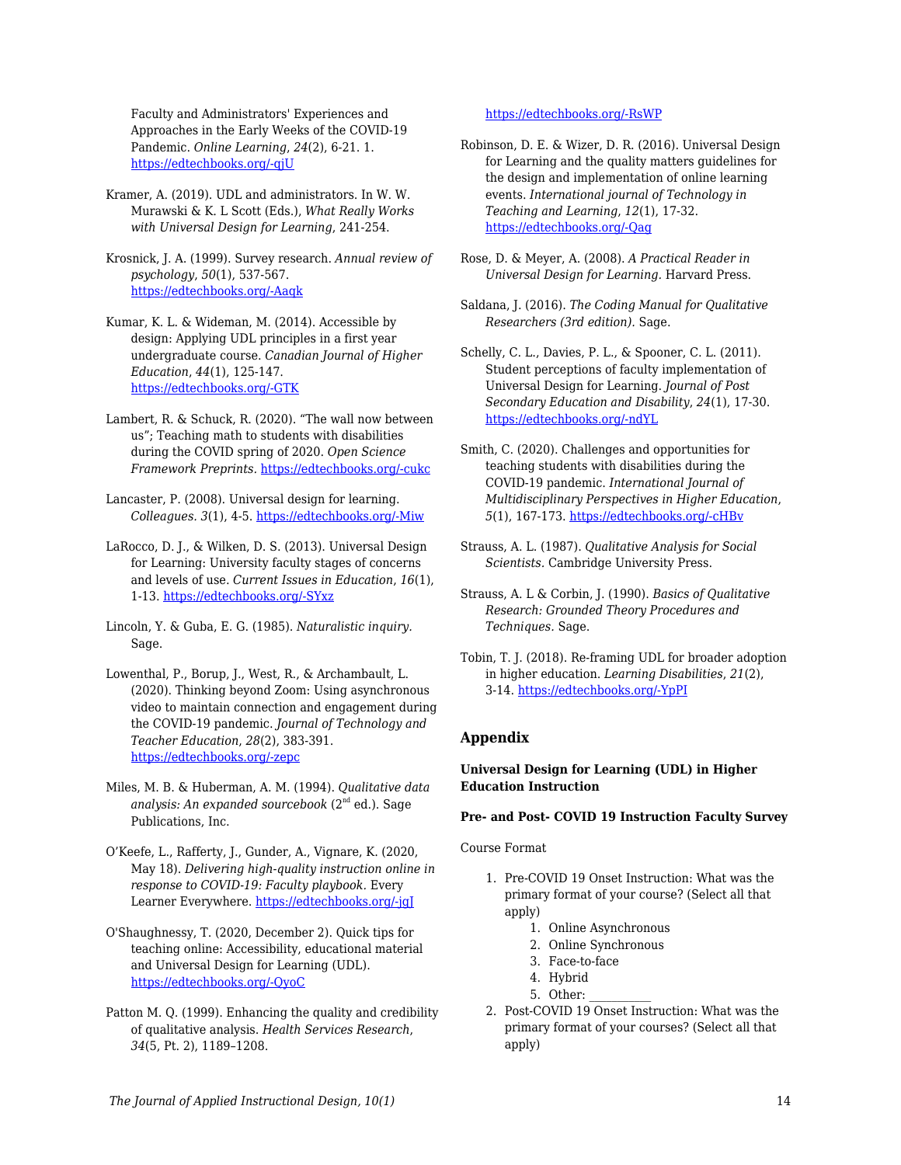Faculty and Administrators' Experiences and Approaches in the Early Weeks of the COVID-19 Pandemic. *Online Learning*, *24*(2), 6-21. 1. [https://edtechbooks.org/-qjU](https://doi.org/10.24059/olj.v24i2.2285)

Kramer, A. (2019). UDL and administrators. In W. W. Murawski & K. L Scott (Eds.), *What Really Works with Universal Design for Learning*, 241-254.

Krosnick, J. A. (1999). Survey research. *Annual review of psychology*, *50*(1), 537-567. [https://edtechbooks.org/-Aaqk](https://doi.org/10.1146/annurev.psych.50.1.537)

- Kumar, K. L. & Wideman, M. (2014). Accessible by design: Applying UDL principles in a first year undergraduate course. *Canadian Journal of Higher Education*, *44*(1), 125-147. [https://edtechbooks.org/-GTK](https://eric.ed.gov/?id=EJ1028772)
- Lambert, R. & Schuck, R. (2020). "The wall now between us"; Teaching math to students with disabilities during the COVID spring of 2020. *Open Science Framework Preprints.* [https://edtechbooks.org/-cukc](https://doi.org/10.31219/osf.io/xe6b2)
- Lancaster, P. (2008). Universal design for learning. *Colleagues. 3*(1), 4-5. [https://edtechbooks.org/-Miw](http://scholarworks.gvsu.edu/colleagues/vol3/iss1/5)
- LaRocco, D. J., & Wilken, D. S. (2013). Universal Design for Learning: University faculty stages of concerns and levels of use. *Current Issues in Education*, *16*(1), 1-13. [https://edtechbooks.org/-SYxz](https://cie.asu.edu/ojs/index.php/cieatasu/article/view/1319/556)
- Lincoln, Y. & Guba, E. G. (1985). *Naturalistic inquiry.* Sage.
- Lowenthal, P., Borup, J., West, R., & Archambault, L. (2020). Thinking beyond Zoom: Using asynchronous video to maintain connection and engagement during the COVID-19 pandemic. *Journal of Technology and Teacher Education*, *28*(2), 383-391. [https://edtechbooks.org/-zepc](https://www.learntechlib.org/primary/p/216192/)
- Miles, M. B. & Huberman, A. M. (1994). *Qualitative data analysis: An expanded sourcebook* (2nd ed.). Sage Publications, Inc.
- O'Keefe, L., Rafferty, J., Gunder, A., Vignare, K. (2020, May 18). *Delivering high-quality instruction online in response to COVID-19: Faculty playbook.* Every Learner Everywhere. [https://edtechbooks.org/-jgJ](https://www.everylearnereverywhere.org/resources/delivering-high-quality-instruction-online-in-response-to-covid-19/)
- O'Shaughnessy, T. (2020, December 2). Quick tips for teaching online: Accessibility, educational material and Universal Design for Learning (UDL). [https://edtechbooks.org/-QyoC](https://www.ul.ie/ltf/news-centre/news/quick-tips-teaching-online-accessibility-educational-material-and-universal-design)
- Patton M. Q. (1999). Enhancing the quality and credibility of qualitative analysis. *Health Services Research*, *34*(5, Pt. 2), 1189–1208.

### [https://edtechbooks.org/-RsWP](https://www.ncbi.nlm.nih.gov/pmc/articles/PMC1089059/)

- Robinson, D. E. & Wizer, D. R. (2016). Universal Design for Learning and the quality matters guidelines for the design and implementation of online learning events. *International journal of Technology in Teaching and Learning*, *12*(1), 17-32. [https://edtechbooks.org/-Qag](https://files.eric.ed.gov/fulltext/EJ1213328.pdf)
- Rose, D. & Meyer, A. (2008). *A Practical Reader in Universal Design for Learning.* Harvard Press.
- Saldana, J. (2016). *The Coding Manual for Qualitative Researchers (3rd edition).* Sage.
- Schelly, C. L., Davies, P. L., & Spooner, C. L. (2011). Student perceptions of faculty implementation of Universal Design for Learning. *Journal of Post Secondary Education and Disability*, *24*(1), 17-30. [https://edtechbooks.org/-ndYL](https://eric.ed.gov/?id=EJ941729)
- Smith, C. (2020). Challenges and opportunities for teaching students with disabilities during the COVID-19 pandemic. *International Journal of Multidisciplinary Perspectives in Higher Education*, *5*(1), 167-173. [https://edtechbooks.org/-cHBv](https://doi.org/10.32674/jimphe.v5i1.2619)
- Strauss, A. L. (1987). *Qualitative Analysis for Social Scientists.* Cambridge University Press.
- Strauss, A. L & Corbin, J. (1990). *Basics of Qualitative Research: Grounded Theory Procedures and Techniques.* Sage.
- Tobin, T. J. (2018). Re-framing UDL for broader adoption in higher education. *Learning Disabilities*, *21*(2), 3-14. [https://edtechbooks.org/-YpPI](https://www.uduc.org/wp-content/uploads/2019/08/20181114-AHEAD-Higher-Ground-Tobin-UDL-Jedi-White-Paper.pdf)

## **Appendix**

### **Universal Design for Learning (UDL) in Higher Education Instruction**

### **Pre- and Post- COVID 19 Instruction Faculty Survey**

#### Course Format

- 1. Pre-COVID 19 Onset Instruction: What was the primary format of your course? (Select all that apply)
	- 1. Online Asynchronous
	- 2. Online Synchronous
	- 3. Face-to-face
	- 4. Hybrid
	- 5. Other:
- 2. Post-COVID 19 Onset Instruction: What was the primary format of your courses? (Select all that apply)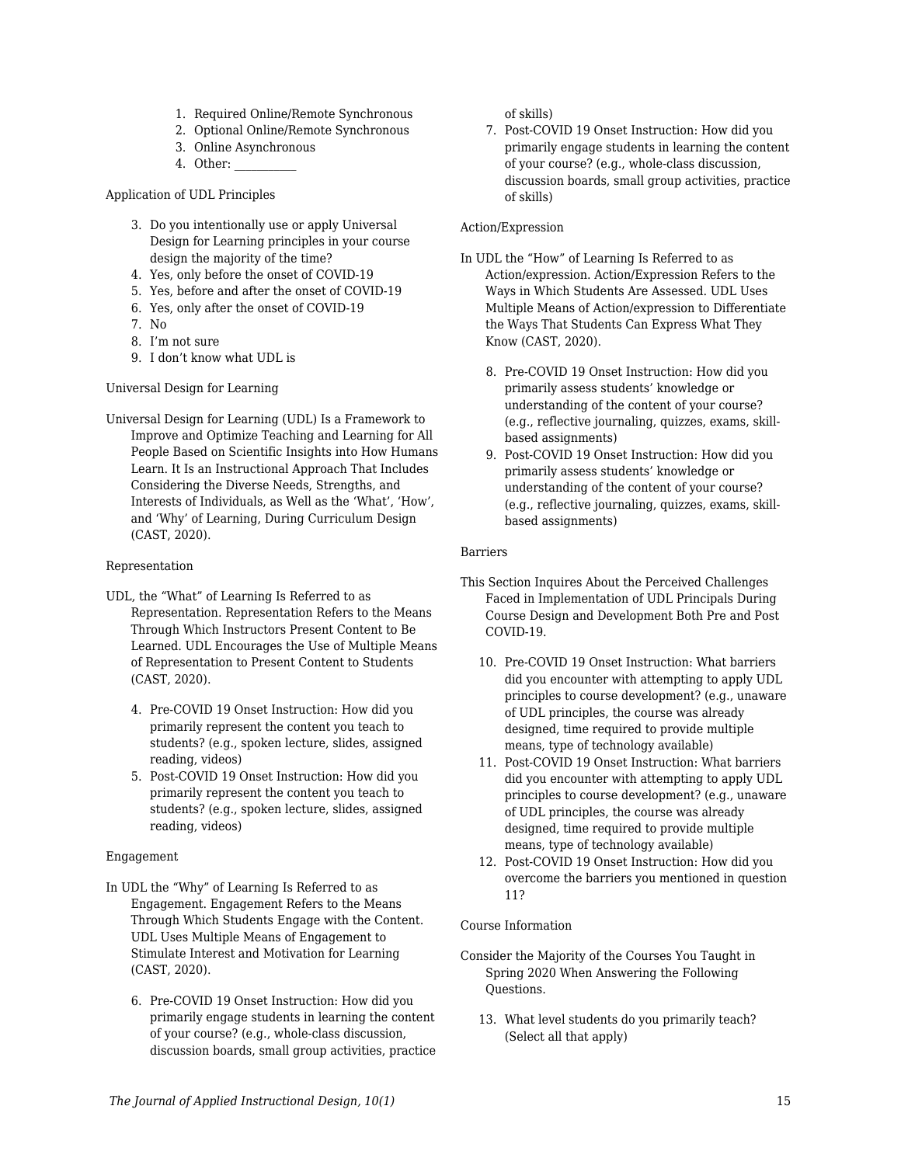- 1. Required Online/Remote Synchronous
- 2. Optional Online/Remote Synchronous
- 3. Online Asynchronous
- 4. Other:

Application of UDL Principles

- 3. Do you intentionally use or apply Universal Design for Learning principles in your course design the majority of the time?
- 4. Yes, only before the onset of COVID-19
- 5. Yes, before and after the onset of COVID-19
- 6. Yes, only after the onset of COVID-19
- 7. No
- 8. I'm not sure
- 9. I don't know what UDL is

#### Universal Design for Learning

Universal Design for Learning (UDL) Is a Framework to Improve and Optimize Teaching and Learning for All People Based on Scientific Insights into How Humans Learn. It Is an Instructional Approach That Includes Considering the Diverse Needs, Strengths, and Interests of Individuals, as Well as the 'What', 'How', and 'Why' of Learning, During Curriculum Design (CAST, 2020).

#### Representation

- UDL, the "What" of Learning Is Referred to as Representation. Representation Refers to the Means Through Which Instructors Present Content to Be Learned. UDL Encourages the Use of Multiple Means of Representation to Present Content to Students (CAST, 2020).
	- 4. Pre-COVID 19 Onset Instruction: How did you primarily represent the content you teach to students? (e.g., spoken lecture, slides, assigned reading, videos)
	- 5. Post-COVID 19 Onset Instruction: How did you primarily represent the content you teach to students? (e.g., spoken lecture, slides, assigned reading, videos)

#### Engagement

- In UDL the "Why" of Learning Is Referred to as Engagement. Engagement Refers to the Means Through Which Students Engage with the Content. UDL Uses Multiple Means of Engagement to Stimulate Interest and Motivation for Learning (CAST, 2020).
	- 6. Pre-COVID 19 Onset Instruction: How did you primarily engage students in learning the content of your course? (e.g., whole-class discussion, discussion boards, small group activities, practice

of skills)

7. Post-COVID 19 Onset Instruction: How did you primarily engage students in learning the content of your course? (e.g., whole-class discussion, discussion boards, small group activities, practice of skills)

## Action/Expression

- In UDL the "How" of Learning Is Referred to as Action/expression. Action/Expression Refers to the Ways in Which Students Are Assessed. UDL Uses Multiple Means of Action/expression to Differentiate the Ways That Students Can Express What They Know (CAST, 2020).
	- 8. Pre-COVID 19 Onset Instruction: How did you primarily assess students' knowledge or understanding of the content of your course? (e.g., reflective journaling, quizzes, exams, skillbased assignments)
	- 9. Post-COVID 19 Onset Instruction: How did you primarily assess students' knowledge or understanding of the content of your course? (e.g., reflective journaling, quizzes, exams, skillbased assignments)

#### Barriers

- This Section Inquires About the Perceived Challenges Faced in Implementation of UDL Principals During Course Design and Development Both Pre and Post COVID-19.
	- 10. Pre-COVID 19 Onset Instruction: What barriers did you encounter with attempting to apply UDL principles to course development? (e.g., unaware of UDL principles, the course was already designed, time required to provide multiple means, type of technology available)
	- 11. Post-COVID 19 Onset Instruction: What barriers did you encounter with attempting to apply UDL principles to course development? (e.g., unaware of UDL principles, the course was already designed, time required to provide multiple means, type of technology available)
	- 12. Post-COVID 19 Onset Instruction: How did you overcome the barriers you mentioned in question 11?

### Course Information

- Consider the Majority of the Courses You Taught in Spring 2020 When Answering the Following Questions.
	- 13. What level students do you primarily teach? (Select all that apply)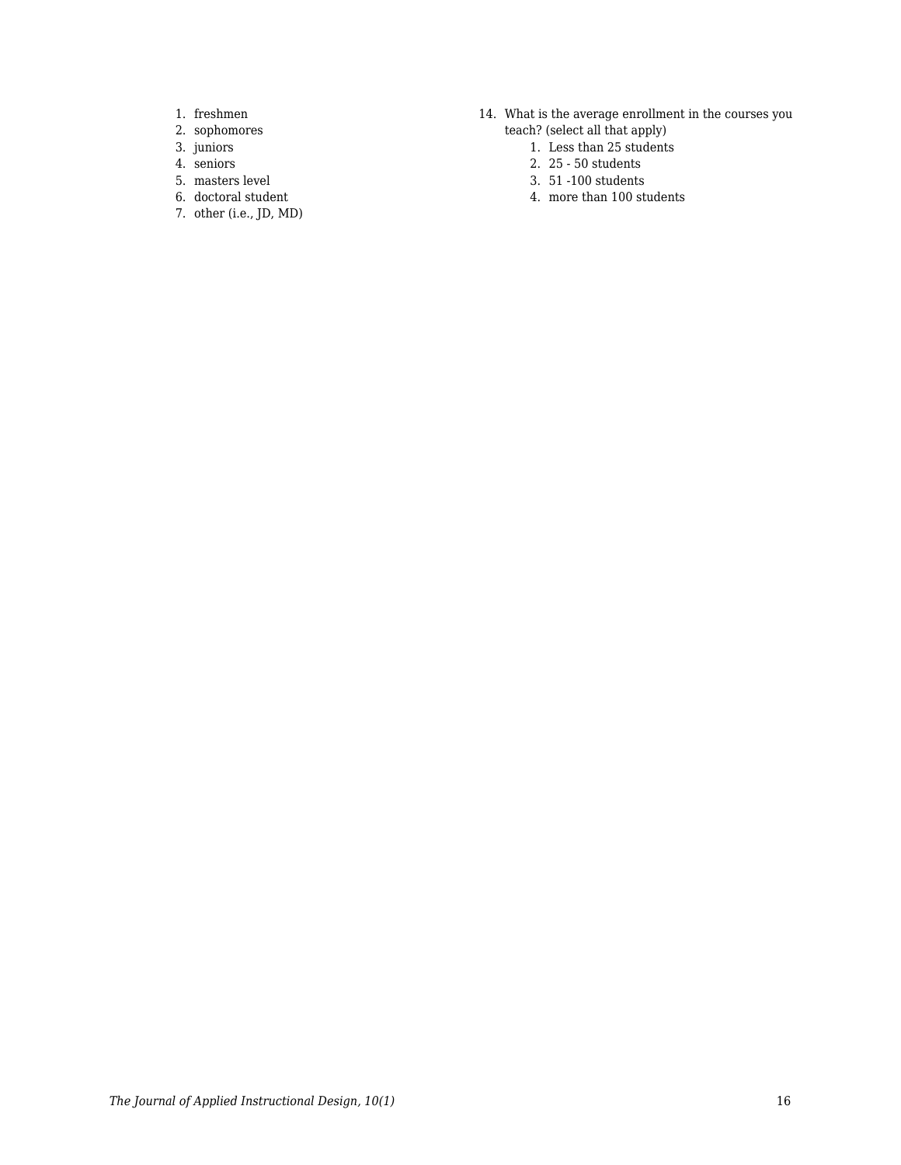- 1. freshmen
- 2. sophomores
- 3. juniors
- 4. seniors
- 5. masters level
- 6. doctoral student
- 7. other (i.e., JD, MD)
- 14. What is the average enrollment in the courses you teach? (select all that apply)
	- 1. Less than 25 students
	- 2. 25 50 students
	- 3. 51 -100 students
	- 4. more than 100 students